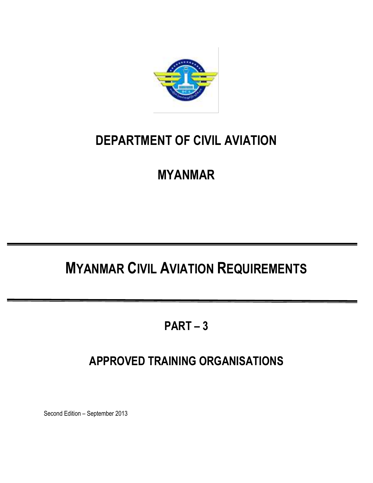

# **DEPARTMENT OF CIVIL AVIATION**

# **MYANMAR**

# **MYANMAR CIVIL AVIATION REQUIREMENTS**

# **PART – 3**

# **APPROVED TRAINING ORGANISATIONS**

Second Edition – September 2013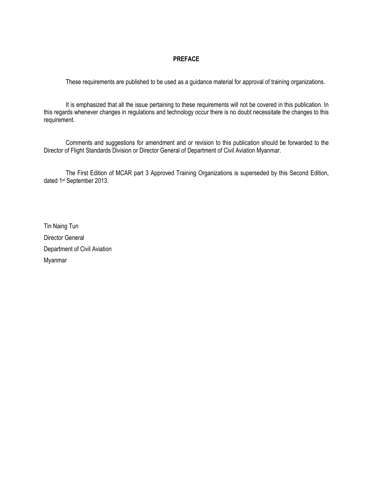#### **PREFACE**

These requirements are published to be used as a guidance material for approval of training organizations.

It is emphasized that all the issue pertaining to these requirements will not be covered in this publication. In this regards whenever changes in regulations and technology occur there is no doubt necessitate the changes to this requirement.

Comments and suggestions for amendment and or revision to this publication should be forwarded to the Director of Flight Standards Division or Director General of Department of Civil Aviation Myanmar.

The First Edition of MCAR part 3 Approved Training Organizations is superseded by this Second Edition, dated 1st September 2013.

Tin Naing Tun Director General Department of Civil Aviation Myanmar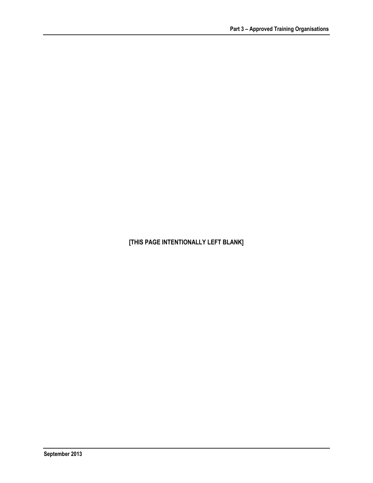#### **[THIS PAGE INTENTIONALLY LEFT BLANK]**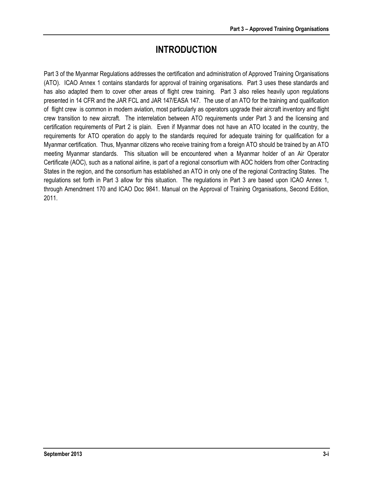# **INTRODUCTION**

Part 3 of the Myanmar Regulations addresses the certification and administration of Approved Training Organisations (ATO). ICAO Annex 1 contains standards for approval of training organisations. Part 3 uses these standards and has also adapted them to cover other areas of flight crew training. Part 3 also relies heavily upon regulations presented in 14 CFR and the JAR FCL and JAR 147/EASA 147. The use of an ATO for the training and qualification of flight crew is common in modern aviation, most particularly as operators upgrade their aircraft inventory and flight crew transition to new aircraft. The interrelation between ATO requirements under Part 3 and the licensing and certification requirements of Part 2 is plain. Even if Myanmar does not have an ATO located in the country, the requirements for ATO operation do apply to the standards required for adequate training for qualification for a Myanmar certification. Thus, Myanmar citizens who receive training from a foreign ATO should be trained by an ATO meeting Myanmar standards. This situation will be encountered when a Myanmar holder of an Air Operator Certificate (AOC), such as a national airline, is part of a regional consortium with AOC holders from other Contracting States in the region, and the consortium has established an ATO in only one of the regional Contracting States. The regulations set forth in Part 3 allow for this situation. The regulations in Part 3 are based upon ICAO Annex 1, through Amendment 170 and ICAO Doc 9841. Manual on the Approval of Training Organisations, Second Edition, 2011.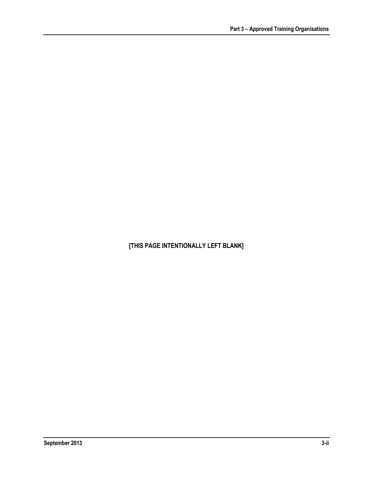**[THIS PAGE INTENTIONALLY LEFT BLANK]**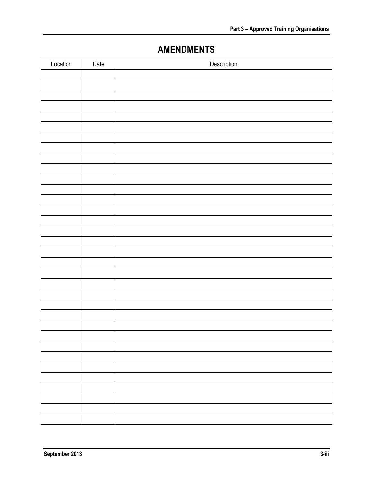# **AMENDMENTS**

| Location | Date | Description |
|----------|------|-------------|
|          |      |             |
|          |      |             |
|          |      |             |
|          |      |             |
|          |      |             |
|          |      |             |
|          |      |             |
|          |      |             |
|          |      |             |
|          |      |             |
|          |      |             |
|          |      |             |
|          |      |             |
|          |      |             |
|          |      |             |
|          |      |             |
|          |      |             |
|          |      |             |
|          |      |             |
|          |      |             |
|          |      |             |
|          |      |             |
|          |      |             |
|          |      |             |
|          |      |             |
|          |      |             |
|          |      |             |
|          |      |             |
|          |      |             |
|          |      |             |
|          |      |             |
|          |      |             |
|          |      |             |
|          |      |             |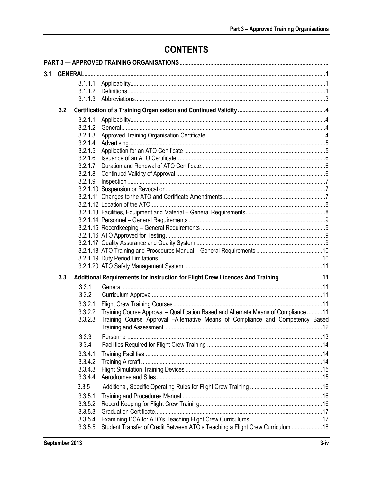# **CONTENTS**

| 3.1 |     |                    |                                                                                     |  |
|-----|-----|--------------------|-------------------------------------------------------------------------------------|--|
|     |     | 3.1.1.1            |                                                                                     |  |
|     |     |                    |                                                                                     |  |
|     |     | 3.1.1.3            |                                                                                     |  |
|     | 3.2 |                    |                                                                                     |  |
|     |     | 3.2.1.1            |                                                                                     |  |
|     |     | 3.2.1.2            |                                                                                     |  |
|     |     | 3.2.1.3            |                                                                                     |  |
|     |     | 3.2.1.4            |                                                                                     |  |
|     |     | 3.2.1.5            |                                                                                     |  |
|     |     | 3.2.1.6            |                                                                                     |  |
|     |     | 3.2.1.7            |                                                                                     |  |
|     |     | 3.2.1.8            |                                                                                     |  |
|     |     |                    |                                                                                     |  |
|     |     |                    |                                                                                     |  |
|     |     |                    |                                                                                     |  |
|     |     |                    |                                                                                     |  |
|     |     |                    |                                                                                     |  |
|     |     |                    |                                                                                     |  |
|     |     |                    |                                                                                     |  |
|     |     |                    |                                                                                     |  |
|     |     |                    |                                                                                     |  |
|     |     |                    |                                                                                     |  |
|     |     |                    |                                                                                     |  |
|     | 3.3 |                    | Additional Requirements for Instruction for Flight Crew Licences And Training 11    |  |
|     |     | 3.3.1              |                                                                                     |  |
|     |     | 3.3.2              |                                                                                     |  |
|     |     | 3.3.2.1            |                                                                                     |  |
|     |     | 3.3.2.2            | Training Course Approval - Qualification Based and Alternate Means of Compliance 11 |  |
|     |     | 3.3.2.3            | Training Course Approval -Alternative Means of Compliance and Competency Based      |  |
|     |     |                    |                                                                                     |  |
|     |     | 3.3.3              |                                                                                     |  |
|     |     | 3.3.4              |                                                                                     |  |
|     |     | 3.3.4.1            |                                                                                     |  |
|     |     | 3.3.4.2            |                                                                                     |  |
|     |     | 3.3.4.3<br>3.3.4.4 |                                                                                     |  |
|     |     | 3.3.5              |                                                                                     |  |
|     |     |                    |                                                                                     |  |
|     |     | 3.3.5.1<br>3.3.5.2 |                                                                                     |  |
|     |     | 3.3.5.3            |                                                                                     |  |
|     |     | 3.3.5.4            |                                                                                     |  |
|     |     | 3.3.5.5            | Student Transfer of Credit Between ATO's Teaching a Flight Crew Curriculum  18      |  |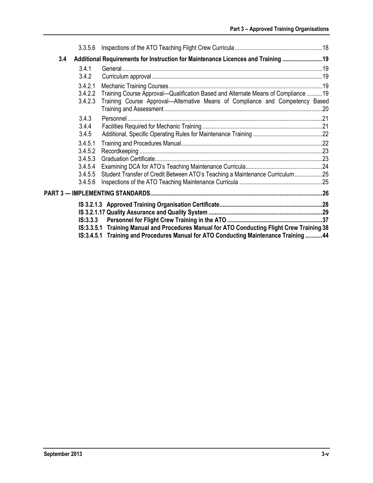|     | 3.3.5.6                                                        |                                                                                                                                                                          |  |
|-----|----------------------------------------------------------------|--------------------------------------------------------------------------------------------------------------------------------------------------------------------------|--|
| 3.4 |                                                                | Additional Requirements for Instruction for Maintenance Licences and Training  19                                                                                        |  |
|     | 3.4.1<br>3.4.2                                                 |                                                                                                                                                                          |  |
|     | 3.4.2.1<br>3.4.2.2<br>3.4.2.3                                  | Training Course Approval—Qualification Based and Alternate Means of Compliance 19<br>Training Course Approval-Alternative Means of Compliance and Competency Based       |  |
|     | 3.4.3<br>3.4.4<br>3.4.5                                        |                                                                                                                                                                          |  |
|     | 3.4.5.1<br>3.4.5.2<br>3.4.5.3<br>3.4.5.4<br>3.4.5.5<br>3.4.5.6 | Student Transfer of Credit Between ATO's Teaching a Maintenance Curriculum25                                                                                             |  |
|     |                                                                |                                                                                                                                                                          |  |
|     | IS:3.3.3<br>IS:3.3.5.1                                         | Training Manual and Procedures Manual for ATO Conducting Flight Crew Training 38<br>IS:3.4.5.1 Training and Procedures Manual for ATO Conducting Maintenance Training 44 |  |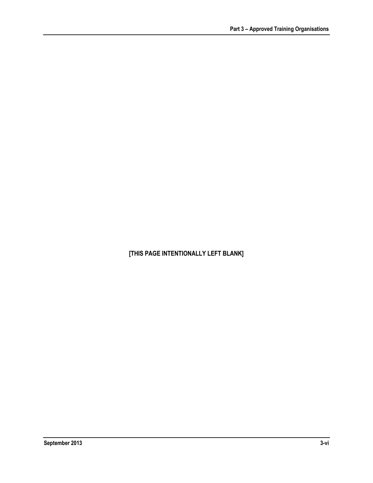**[THIS PAGE INTENTIONALLY LEFT BLANK]**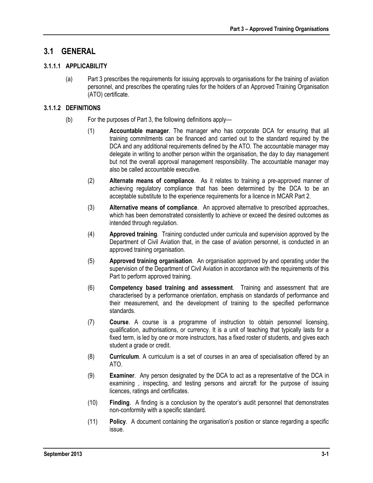## <span id="page-10-0"></span>**3.1 GENERAL**

#### <span id="page-10-1"></span>**3.1.1.1 APPLICABILITY**

(a) Part 3 prescribes the requirements for issuing approvals to organisations for the training of aviation personnel, and prescribes the operating rules for the holders of an Approved Training Organisation (ATO) certificate.

#### <span id="page-10-2"></span>**3.1.1.2 DEFINITIONS**

- (b) For the purposes of Part 3, the following definitions apply—
	- (1) **Accountable manager**. The manager who has corporate DCA for ensuring that all training commitments can be financed and carried out to the standard required by the DCA and any additional requirements defined by the ATO. The accountable manager may delegate in writing to another person within the organisation, the day to day management but not the overall approval management responsibility. The accountable manager may also be called accountable executive.
	- (2) **Alternate means of compliance**. As it relates to training a pre-approved manner of achieving regulatory compliance that has been determined by the DCA to be an acceptable substitute to the experience requirements for a licence in MCAR Part 2.
	- (3) **Alternative means of compliance**. An approved alternative to prescribed approaches, which has been demonstrated consistently to achieve or exceed the desired outcomes as intended through regulation.
	- (4) **Approved training**. Training conducted under curricula and supervision approved by the Department of Civil Aviation that, in the case of aviation personnel, is conducted in an approved training organisation.
	- (5) **Approved training organisation**. An organisation approved by and operating under the supervision of the Department of Civil Aviation in accordance with the requirements of this Part to perform approved training.
	- (6) **Competency based training and assessment**. Training and assessment that are characterised by a performance orientation, emphasis on standards of performance and their measurement, and the development of training to the specified performance standards.
	- (7) **Course**. A course is a programme of instruction to obtain personnel licensing, qualification, authorisations, or currency. It is a unit of teaching that typically lasts for a fixed term, is led by one or more instructors, has a fixed roster of students, and gives each student a grade or credit.
	- (8) **Curriculum**. A curriculum is a set of courses in an area of specialisation offered by an ATO.
	- (9) **Examiner**. Any person designated by the DCA to act as a representative of the DCA in examining , inspecting, and testing persons and aircraft for the purpose of issuing licences, ratings and certificates.
	- (10) **Finding**. A finding is a conclusion by the operator's audit personnel that demonstrates non-conformity with a specific standard.
	- (11) **Policy**. A document containing the organisation's position or stance regarding a specific issue.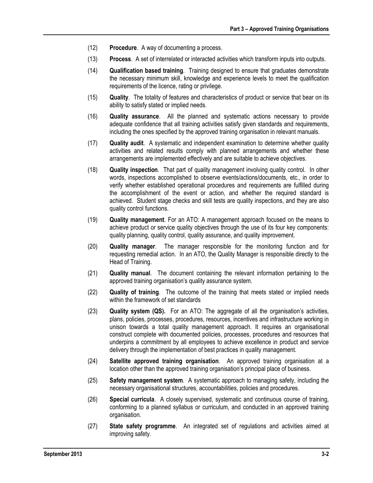- (12) **Procedure**. A way of documenting a process.
- (13) **Process**. A set of interrelated or interacted activities which transform inputs into outputs.
- (14) **Qualification based training**. Training designed to ensure that graduates demonstrate the necessary minimum skill, knowledge and experience levels to meet the qualification requirements of the licence, rating or privilege.
- (15) **Quality**. The totality of features and characteristics of product or service that bear on its ability to satisfy stated or implied needs.
- (16) **Quality assurance**. All the planned and systematic actions necessary to provide adequate confidence that all training activities satisfy given standards and requirements, including the ones specified by the approved training organisation in relevant manuals.
- (17) **Quality audit**. A systematic and independent examination to determine whether quality activities and related results comply with planned arrangements and whether these arrangements are implemented effectively and are suitable to achieve objectives.
- (18) **Quality inspection**. That part of quality management involving quality control. In other words, inspections accomplished to observe events/actions/documents, etc., in order to verify whether established operational procedures and requirements are fulfilled during the accomplishment of the event or action, and whether the required standard is achieved. Student stage checks and skill tests are quality inspections, and they are also quality control functions.
- (19) **Quality management**. For an ATO: A management approach focused on the means to achieve product or service quality objectives through the use of its four key components: quality planning, quality control, quality assurance, and quality improvement.
- (20) **Quality manager**. The manager responsible for the monitoring function and for requesting remedial action. In an ATO, the Quality Manager is responsible directly to the Head of Training.
- (21) **Quality manual**. The document containing the relevant information pertaining to the approved training organisation's quality assurance system.
- (22) **Quality of training**. The outcome of the training that meets stated or implied needs within the framework of set standards
- (23) **Quality system (QS).** For an ATO: The aggregate of all the organisation's activities, plans, policies, processes, procedures, resources, incentives and infrastructure working in unison towards a total quality management approach. It requires an organisational construct complete with documented policies, processes, procedures and resources that underpins a commitment by all employees to achieve excellence in product and service delivery through the implementation of best practices in quality management.
- (24) **Satellite approved training organisation**. An approved training organisation at a location other than the approved training organisation's principal place of business.
- (25) **Safety management system**. A systematic approach to managing safety, including the necessary organisational structures, accountabilities, policies and procedures.
- (26) **Special curricula**. A closely supervised, systematic and continuous course of training, conforming to a planned syllabus or curriculum, and conducted in an approved training organisation.
- (27) **State safety programme**. An integrated set of regulations and activities aimed at improving safety.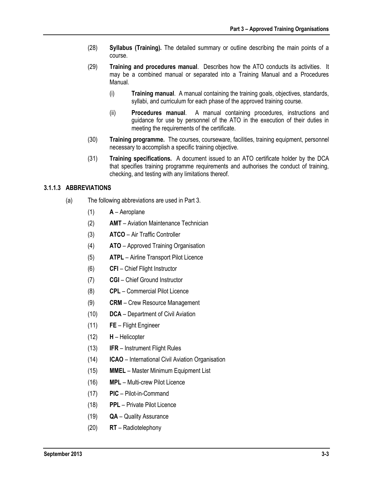- (28) **Syllabus (Training).** The detailed summary or outline describing the main points of a course.
- (29) **Training and procedures manual**. Describes how the ATO conducts its activities. It may be a combined manual or separated into a Training Manual and a Procedures Manual.
	- (i) **Training manual**. A manual containing the training goals, objectives, standards, syllabi, and curriculum for each phase of the approved training course.
	- (ii) **Procedures manual**. A manual containing procedures, instructions and guidance for use by personnel of the ATO in the execution of their duties in meeting the requirements of the certificate.
- (30) **Training programme.** The courses, courseware, facilities, training equipment, personnel necessary to accomplish a specific training objective.
- (31) **Training specifications.** A document issued to an ATO certificate holder by the DCA that specifies training programme requirements and authorises the conduct of training, checking, and testing with any limitations thereof.

#### <span id="page-12-0"></span>**3.1.1.3 ABBREVIATIONS**

- (a) The following abbreviations are used in Part 3.
	- (1) **A** Aeroplane
	- (2) **AMT** Aviation Maintenance Technician
	- (3) **ATCO** Air Traffic Controller
	- (4) **ATO** Approved Training Organisation
	- (5) **ATPL** Airline Transport Pilot Licence
	- (6) **CFI** Chief Flight Instructor
	- (7) **CGI** Chief Ground Instructor
	- (8) **CPL** Commercial Pilot Licence
	- (9) **CRM** Crew Resource Management
	- (10) **DCA**  Department of Civil Aviation
	- (11) **FE** Flight Engineer
	- (12) **H** Helicopter
	- (13) **IFR** Instrument Flight Rules
	- (14) **ICAO** International Civil Aviation Organisation
	- (15) **MMEL** Master Minimum Equipment List
	- (16) **MPL** Multi-crew Pilot Licence
	- (17) **PIC** Pilot-in-Command
	- (18) **PPL** Private Pilot Licence
	- (19) **QA** Quality Assurance
	- (20) **RT** Radiotelephony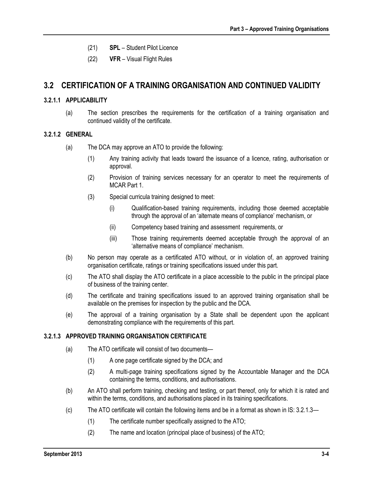- (21) **SPL**  Student Pilot Licence
- (22) **VFR** Visual Flight Rules

## <span id="page-13-0"></span>**3.2 CERTIFICATION OF A TRAINING ORGANISATION AND CONTINUED VALIDITY**

#### <span id="page-13-1"></span>**3.2.1.1 APPLICABILITY**

(a) The section prescribes the requirements for the certification of a training organisation and continued validity of the certificate.

#### <span id="page-13-2"></span>**3.2.1.2 GENERAL**

- (a) The DCA may approve an ATO to provide the following:
	- (1) Any training activity that leads toward the issuance of a licence, rating, authorisation or approval.
	- (2) Provision of training services necessary for an operator to meet the requirements of MCAR Part 1.
	- (3) Special curricula training designed to meet:
		- (i) Qualification-based training requirements, including those deemed acceptable through the approval of an 'alternate means of compliance' mechanism, or
		- (ii) Competency based training and assessment requirements, or
		- (iii) Those training requirements deemed acceptable through the approval of an 'alternative means of compliance' mechanism.
- (b) No person may operate as a certificated ATO without, or in violation of, an approved training organisation certificate, ratings or training specifications issued under this part.
- (c) The ATO shall display the ATO certificate in a place accessible to the public in the principal place of business of the training center.
- (d) The certificate and training specifications issued to an approved training organisation shall be available on the premises for inspection by the public and the DCA.
- (e) The approval of a training organisation by a State shall be dependent upon the applicant demonstrating compliance with the requirements of this part.

#### <span id="page-13-3"></span>**3.2.1.3 APPROVED TRAINING ORGANISATION CERTIFICATE**

- (a) The ATO certificate will consist of two documents—
	- (1) A one page certificate signed by the DCA; and
	- (2) A multi-page training specifications signed by the Accountable Manager and the DCA containing the terms, conditions, and authorisations.
- (b) An ATO shall perform training, checking and testing, or part thereof, only for which it is rated and within the terms, conditions, and authorisations placed in its training specifications.
- (c) The ATO certificate will contain the following items and be in a format as shown in IS: 3.2.1.3—
	- (1) The certificate number specifically assigned to the ATO;
	- (2) The name and location (principal place of business) of the ATO;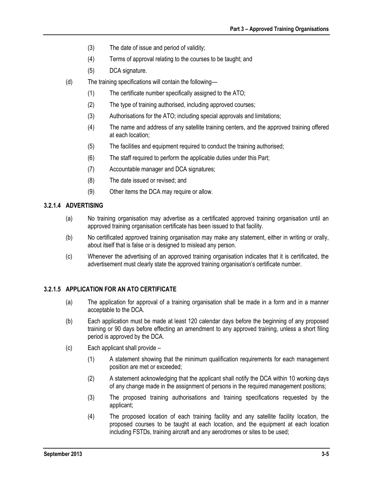- (3) The date of issue and period of validity;
- (4) Terms of approval relating to the courses to be taught; and
- (5) DCA signature.
- (d) The training specifications will contain the following—
	- (1) The certificate number specifically assigned to the ATO;
	- (2) The type of training authorised, including approved courses;
	- (3) Authorisations for the ATO; including special approvals and limitations;
	- (4) The name and address of any satellite training centers, and the approved training offered at each location;
	- (5) The facilities and equipment required to conduct the training authorised;
	- (6) The staff required to perform the applicable duties under this Part;
	- (7) Accountable manager and DCA signatures;
	- (8) The date issued or revised; and
	- (9) Other items the DCA may require or allow.

#### <span id="page-14-0"></span>**3.2.1.4 ADVERTISING**

- (a) No training organisation may advertise as a certificated approved training organisation until an approved training organisation certificate has been issued to that facility.
- (b) No certificated approved training organisation may make any statement, either in writing or orally, about itself that is false or is designed to mislead any person.
- (c) Whenever the advertising of an approved training organisation indicates that it is certificated, the advertisement must clearly state the approved training organisation's certificate number.

#### <span id="page-14-1"></span>**3.2.1.5 APPLICATION FOR AN ATO CERTIFICATE**

- (a) The application for approval of a training organisation shall be made in a form and in a manner acceptable to the DCA.
- (b) Each application must be made at least 120 calendar days before the beginning of any proposed training or 90 days before effecting an amendment to any approved training, unless a short filing period is approved by the DCA.
- (c) Each applicant shall provide
	- (1) A statement showing that the minimum qualification requirements for each management position are met or exceeded;
	- (2) A statement acknowledging that the applicant shall notify the DCA within 10 working days of any change made in the assignment of persons in the required management positions;
	- (3) The proposed training authorisations and training specifications requested by the applicant;
	- (4) The proposed location of each training facility and any satellite facility location, the proposed courses to be taught at each location, and the equipment at each location including FSTDs, training aircraft and any aerodromes or sites to be used;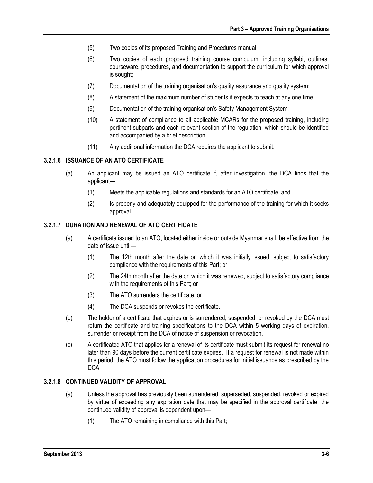- (5) Two copies of its proposed Training and Procedures manual;
- (6) Two copies of each proposed training course curriculum, including syllabi, outlines, courseware, procedures, and documentation to support the curriculum for which approval is sought;
- (7) Documentation of the training organisation's quality assurance and quality system;
- (8) A statement of the maximum number of students it expects to teach at any one time;
- (9) Documentation of the training organisation's Safety Management System;
- (10) A statement of compliance to all applicable MCARs for the proposed training, including pertinent subparts and each relevant section of the regulation, which should be identified and accompanied by a brief description.
- (11) Any additional information the DCA requires the applicant to submit.

#### <span id="page-15-0"></span>**3.2.1.6 ISSUANCE OF AN ATO CERTIFICATE**

- (a) An applicant may be issued an ATO certificate if, after investigation, the DCA finds that the applicant—
	- (1) Meets the applicable regulations and standards for an ATO certificate, and
	- (2) Is properly and adequately equipped for the performance of the training for which it seeks approval.

#### <span id="page-15-1"></span>**3.2.1.7 DURATION AND RENEWAL OF ATO CERTIFICATE**

- (a) A certificate issued to an ATO, located either inside or outside Myanmar shall, be effective from the date of issue until—
	- (1) The 12th month after the date on which it was initially issued, subject to satisfactory compliance with the requirements of this Part; or
	- (2) The 24th month after the date on which it was renewed, subject to satisfactory compliance with the requirements of this Part; or
	- (3) The ATO surrenders the certificate, or
	- (4) The DCA suspends or revokes the certificate.
- (b) The holder of a certificate that expires or is surrendered, suspended, or revoked by the DCA must return the certificate and training specifications to the DCA within 5 working days of expiration, surrender or receipt from the DCA of notice of suspension or revocation.
- (c) A certificated ATO that applies for a renewal of its certificate must submit its request for renewal no later than 90 days before the current certificate expires. If a request for renewal is not made within this period, the ATO must follow the application procedures for initial issuance as prescribed by the DCA.

#### <span id="page-15-2"></span>**3.2.1.8 CONTINUED VALIDITY OF APPROVAL**

- (a) Unless the approval has previously been surrendered, superseded, suspended, revoked or expired by virtue of exceeding any expiration date that may be specified in the approval certificate, the continued validity of approval is dependent upon—
	- (1) The ATO remaining in compliance with this Part;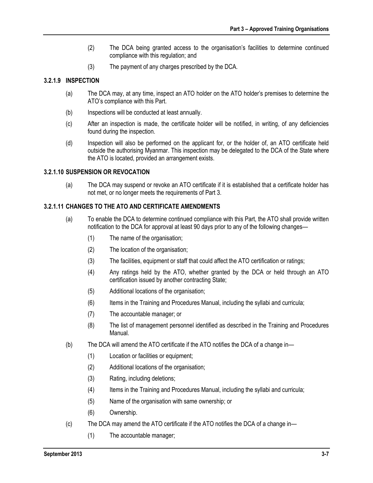- (2) The DCA being granted access to the organisation's facilities to determine continued compliance with this regulation; and
- (3) The payment of any charges prescribed by the DCA.

#### <span id="page-16-0"></span>**3.2.1.9 INSPECTION**

- (a) The DCA may, at any time, inspect an ATO holder on the ATO holder's premises to determine the ATO's compliance with this Part.
- (b) Inspections will be conducted at least annually.
- (c) After an inspection is made, the certificate holder will be notified, in writing, of any deficiencies found during the inspection.
- (d) Inspection will also be performed on the applicant for, or the holder of, an ATO certificate held outside the authorising Myanmar. This inspection may be delegated to the DCA of the State where the ATO is located, provided an arrangement exists.

#### <span id="page-16-1"></span>**3.2.1.10 SUSPENSION OR REVOCATION**

(a) The DCA may suspend or revoke an ATO certificate if it is established that a certificate holder has not met, or no longer meets the requirements of Part 3.

#### <span id="page-16-2"></span>**3.2.1.11 CHANGES TO THE ATO AND CERTIFICATE AMENDMENTS**

- (a) To enable the DCA to determine continued compliance with this Part, the ATO shall provide written notification to the DCA for approval at least 90 days prior to any of the following changes—
	- (1) The name of the organisation;
	- (2) The location of the organisation;
	- (3) The facilities, equipment or staff that could affect the ATO certification or ratings;
	- (4) Any ratings held by the ATO, whether granted by the DCA or held through an ATO certification issued by another contracting State;
	- (5) Additional locations of the organisation;
	- (6) Items in the Training and Procedures Manual, including the syllabi and curricula;
	- (7) The accountable manager; or
	- (8) The list of management personnel identified as described in the Training and Procedures Manual.
- (b) The DCA will amend the ATO certificate if the ATO notifies the DCA of a change in—
	- (1) Location or facilities or equipment;
	- (2) Additional locations of the organisation;
	- (3) Rating, including deletions;
	- (4) Items in the Training and Procedures Manual, including the syllabi and curricula;
	- (5) Name of the organisation with same ownership; or
	- (6) Ownership.
- (c) The DCA may amend the ATO certificate if the ATO notifies the DCA of a change in—
	- (1) The accountable manager;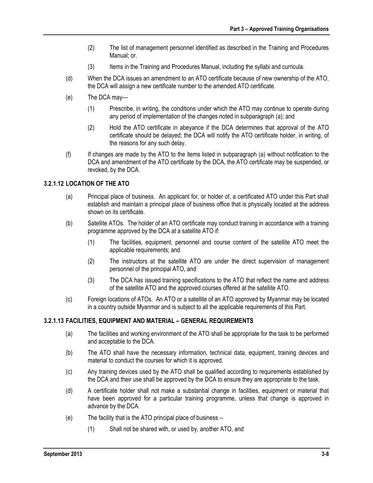- (2) The list of management personnel identified as described in the Training and Procedures Manual; or.
- (3) Items in the Training and Procedures Manual, including the syllabi and curricula.
- (d) When the DCA issues an amendment to an ATO certificate because of new ownership of the ATO, the DCA will assign a new certificate number to the amended ATO certificate.
- (e) The DCA may—
	- (1) Prescribe, in writing, the conditions under which the ATO may continue to operate during any period of implementation of the changes noted in subparagraph (a); and
	- (2) Hold the ATO certificate in abeyance if the DCA determines that approval of the ATO certificate should be delayed; the DCA will notify the ATO certificate holder, in writing, of the reasons for any such delay.
- (f) If changes are made by the ATO to the items listed in subparagraph (a) without notification to the DCA and amendment of the ATO certificate by the DCA, the ATO certificate may be suspended, or revoked, by the DCA.

#### <span id="page-17-0"></span>**3.2.1.12 LOCATION OF THE ATO**

- (a) Principal place of business. An applicant for, or holder of, a certificated ATO under this Part shall establish and maintain a principal place of business office that is physically located at the address shown on its certificate.
- (b) Satellite ATOs. The holder of an ATO certificate may conduct training in accordance with a training programme approved by the DCA at a satellite ATO if:
	- (1) The facilities, equipment, personnel and course content of the satellite ATO meet the applicable requirements; and
	- (2) The instructors at the satellite ATO are under the direct supervision of management personnel of the principal ATO, and
	- (3) The DCA has issued training specifications to the ATO that reflect the name and address of the satellite ATO and the approved courses offered at the satellite ATO.
- (c) Foreign locations of ATOs. An ATO or a satellite of an ATO approved by Myanmar may be located in a country outside Myanmar and is subject to all the applicable requirements of this Part.

#### <span id="page-17-1"></span>**3.2.1.13 FACILITIES, EQUIPMENT AND MATERIAL – GENERAL REQUIREMENTS**

- (a) The facilities and working environment of the ATO shall be appropriate for the task to be performed and acceptable to the DCA.
- (b) The ATO shall have the necessary information, technical data, equipment, training devices and material to conduct the courses for which it is approved.
- (c) Any training devices used by the ATO shall be qualified according to requirements established by the DCA and their use shall be approved by the DCA to ensure they are appropriate to the task.
- (d) A certificate holder shall not make a substantial change in facilities, equipment or material that have been approved for a particular training programme, unless that change is approved in advance by the DCA.
- (e) The facility that is the ATO principal place of business
	- (1) Shall not be shared with, or used by, another ATO, and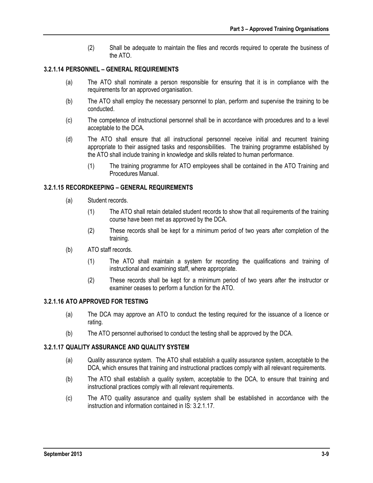(2) Shall be adequate to maintain the files and records required to operate the business of the ATO.

#### <span id="page-18-0"></span>**3.2.1.14 PERSONNEL – GENERAL REQUIREMENTS**

- (a) The ATO shall nominate a person responsible for ensuring that it is in compliance with the requirements for an approved organisation.
- (b) The ATO shall employ the necessary personnel to plan, perform and supervise the training to be conducted.
- (c) The competence of instructional personnel shall be in accordance with procedures and to a level acceptable to the DCA.
- (d) The ATO shall ensure that all instructional personnel receive initial and recurrent training appropriate to their assigned tasks and responsibilities. The training programme established by the ATO shall include training in knowledge and skills related to human performance.
	- (1) The training programme for ATO employees shall be contained in the ATO Training and Procedures Manual.

#### <span id="page-18-1"></span>**3.2.1.15 RECORDKEEPING – GENERAL REQUIREMENTS**

- (a) Student records.
	- (1) The ATO shall retain detailed student records to show that all requirements of the training course have been met as approved by the DCA.
	- (2) These records shall be kept for a minimum period of two years after completion of the training.
- (b) ATO staff records.
	- (1) The ATO shall maintain a system for recording the qualifications and training of instructional and examining staff, where appropriate.
	- (2) These records shall be kept for a minimum period of two years after the instructor or examiner ceases to perform a function for the ATO.

#### <span id="page-18-2"></span>**3.2.1.16 ATO APPROVED FOR TESTING**

- (a) The DCA may approve an ATO to conduct the testing required for the issuance of a licence or rating.
- (b) The ATO personnel authorised to conduct the testing shall be approved by the DCA.

#### <span id="page-18-3"></span>**3.2.1.17 QUALITY ASSURANCE AND QUALITY SYSTEM**

- (a) Quality assurance system. The ATO shall establish a quality assurance system, acceptable to the DCA, which ensures that training and instructional practices comply with all relevant requirements.
- (b) The ATO shall establish a quality system, acceptable to the DCA, to ensure that training and instructional practices comply with all relevant requirements.
- (c) The ATO quality assurance and quality system shall be established in accordance with the instruction and information contained in  $IS: 3.2.1.17$ .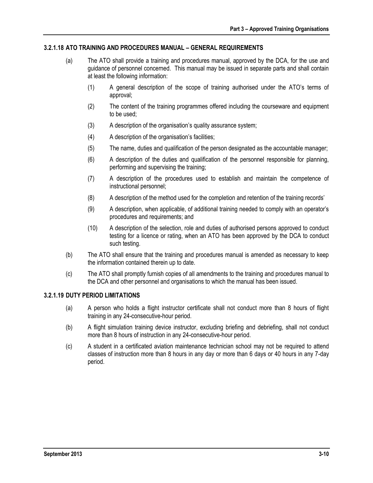#### <span id="page-19-0"></span>**3.2.1.18 ATO TRAINING AND PROCEDURES MANUAL – GENERAL REQUIREMENTS**

- (a) The ATO shall provide a training and procedures manual, approved by the DCA, for the use and guidance of personnel concerned. This manual may be issued in separate parts and shall contain at least the following information:
	- (1) A general description of the scope of training authorised under the ATO's terms of approval;
	- (2) The content of the training programmes offered including the courseware and equipment to be used;
	- (3) A description of the organisation's quality assurance system;
	- (4) A description of the organisation's facilities;
	- (5) The name, duties and qualification of the person designated as the accountable manager;
	- (6) A description of the duties and qualification of the personnel responsible for planning, performing and supervising the training;
	- (7) A description of the procedures used to establish and maintain the competence of instructional personnel;
	- (8) A description of the method used for the completion and retention of the training records'
	- (9) A description, when applicable, of additional training needed to comply with an operator's procedures and requirements; and
	- (10) A description of the selection, role and duties of authorised persons approved to conduct testing for a licence or rating, when an ATO has been approved by the DCA to conduct such testing.
- (b) The ATO shall ensure that the training and procedures manual is amended as necessary to keep the information contained therein up to date.
- (c) The ATO shall promptly furnish copies of all amendments to the training and procedures manual to the DCA and other personnel and organisations to which the manual has been issued.

#### <span id="page-19-1"></span>**3.2.1.19 DUTY PERIOD LIMITATIONS**

- (a) A person who holds a flight instructor certificate shall not conduct more than 8 hours of flight training in any 24-consecutive-hour period.
- (b) A flight simulation training device instructor, excluding briefing and debriefing, shall not conduct more than 8 hours of instruction in any 24-consecutive-hour period.
- (c) A student in a certificated aviation maintenance technician school may not be required to attend classes of instruction more than 8 hours in any day or more than 6 days or 40 hours in any 7-day period.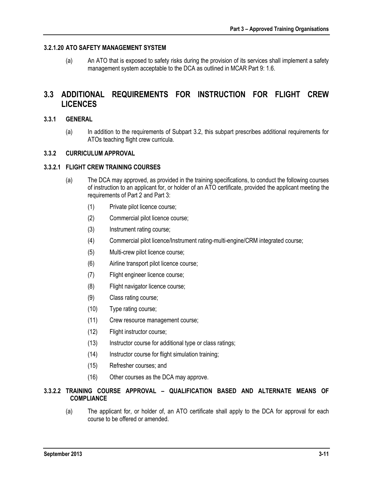#### <span id="page-20-0"></span>**3.2.1.20 ATO SAFETY MANAGEMENT SYSTEM**

(a) An ATO that is exposed to safety risks during the provision of its services shall implement a safety management system acceptable to the DCA as outlined in MCAR Part 9: 1.6.

### <span id="page-20-1"></span>**3.3 ADDITIONAL REQUIREMENTS FOR INSTRUCTION FOR FLIGHT CREW LICENCES**

#### <span id="page-20-2"></span>**3.3.1 GENERAL**

(a) In addition to the requirements of Subpart 3.2, this subpart prescribes additional requirements for ATOs teaching flight crew curricula.

#### <span id="page-20-3"></span>**3.3.2 CURRICULUM APPROVAL**

#### <span id="page-20-4"></span>**3.3.2.1 FLIGHT CREW TRAINING COURSES**

- (a) The DCA may approved, as provided in the training specifications, to conduct the following courses of instruction to an applicant for, or holder of an ATO certificate, provided the applicant meeting the requirements of Part 2 and Part 3:
	- (1) Private pilot licence course;
	- (2) Commercial pilot licence course;
	- (3) Instrument rating course;
	- (4) Commercial pilot licence/Instrument rating-multi-engine/CRM integrated course;
	- (5) Multi-crew pilot licence course;
	- (6) Airline transport pilot licence course;
	- (7) Flight engineer licence course;
	- (8) Flight navigator licence course;
	- (9) Class rating course;
	- (10) Type rating course;
	- (11) Crew resource management course;
	- (12) Flight instructor course;
	- (13) Instructor course for additional type or class ratings;
	- (14) Instructor course for flight simulation training;
	- (15) Refresher courses; and
	- (16) Other courses as the DCA may approve.

#### <span id="page-20-5"></span>**3.3.2.2 TRAINING COURSE APPROVAL – QUALIFICATION BASED AND ALTERNATE MEANS OF COMPLIANCE**

(a) The applicant for, or holder of, an ATO certificate shall apply to the DCA for approval for each course to be offered or amended.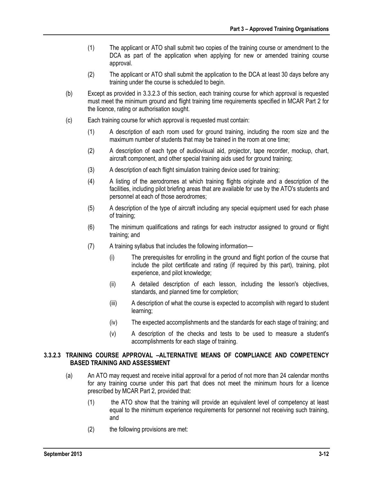- (1) The applicant or ATO shall submit two copies of the training course or amendment to the DCA as part of the application when applying for new or amended training course approval.
- (2) The applicant or ATO shall submit the application to the DCA at least 30 days before any training under the course is scheduled to begin.
- (b) Except as provided in 3.3.2.3 of this section, each training course for which approval is requested must meet the minimum ground and flight training time requirements specified in MCAR Part 2 for the licence, rating or authorisation sought.
- (c) Each training course for which approval is requested must contain:
	- (1) A description of each room used for ground training, including the room size and the maximum number of students that may be trained in the room at one time;
	- (2) A description of each type of audiovisual aid, projector, tape recorder, mockup, chart, aircraft component, and other special training aids used for ground training;
	- (3) A description of each flight simulation training device used for training;
	- (4) A listing of the aerodromes at which training flights originate and a description of the facilities, including pilot briefing areas that are available for use by the ATO's students and personnel at each of those aerodromes;
	- (5) A description of the type of aircraft including any special equipment used for each phase of training;
	- (6) The minimum qualifications and ratings for each instructor assigned to ground or flight training; and
	- (7) A training syllabus that includes the following information—
		- (i) The prerequisites for enrolling in the ground and flight portion of the course that include the pilot certificate and rating (if required by this part), training, pilot experience, and pilot knowledge;
		- (ii) A detailed description of each lesson, including the lesson's objectives, standards, and planned time for completion;
		- (iii) A description of what the course is expected to accomplish with regard to student learning;
		- (iv) The expected accomplishments and the standards for each stage of training; and
		- (v) A description of the checks and tests to be used to measure a student's accomplishments for each stage of training.

#### <span id="page-21-0"></span>**3.3.2.3 TRAINING COURSE APPROVAL –ALTERNATIVE MEANS OF COMPLIANCE AND COMPETENCY BASED TRAINING AND ASSESSMENT**

- (a) An ATO may request and receive initial approval for a period of not more than 24 calendar months for any training course under this part that does not meet the minimum hours for a licence prescribed by MCAR Part 2, provided that:
	- (1) the ATO show that the training will provide an equivalent level of competency at least equal to the minimum experience requirements for personnel not receiving such training, and
	- (2) the following provisions are met: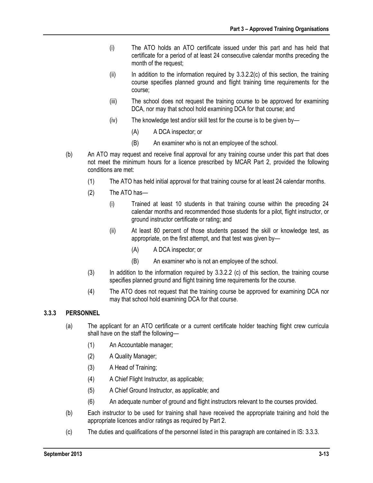- (i) The ATO holds an ATO certificate issued under this part and has held that certificate for a period of at least 24 consecutive calendar months preceding the month of the request;
- $(ii)$  In addition to the information required by 3.3.2.2(c) of this section, the training course specifies planned ground and flight training time requirements for the course;
- (iii) The school does not request the training course to be approved for examining DCA, nor may that school hold examining DCA for that course; and
- (iv) The knowledge test and/or skill test for the course is to be given by—
	- (A) A DCA inspector; or
	- (B) An examiner who is not an employee of the school.
- (b) An ATO may request and receive final approval for any training course under this part that does not meet the minimum hours for a licence prescribed by MCAR Part 2, provided the following conditions are met:
	- (1) The ATO has held initial approval for that training course for at least 24 calendar months.
	- (2) The ATO has—
		- (i) Trained at least 10 students in that training course within the preceding 24 calendar months and recommended those students for a pilot, flight instructor, or ground instructor certificate or rating; and
		- (ii) At least 80 percent of those students passed the skill or knowledge test, as appropriate, on the first attempt, and that test was given by—
			- (A) A DCA inspector; or
			- (B) An examiner who is not an employee of the school.
	- (3) In addition to the information required by 3.3.2.2 (c) of this section, the training course specifies planned ground and flight training time requirements for the course.
	- (4) The ATO does not request that the training course be approved for examining DCA nor may that school hold examining DCA for that course.

#### <span id="page-22-0"></span>**3.3.3 PERSONNEL**

- (a) The applicant for an ATO certificate or a current certificate holder teaching flight crew curricula shall have on the staff the following—
	- (1) An Accountable manager;
	- (2) A Quality Manager;
	- (3) A Head of Training;
	- (4) A Chief Flight Instructor, as applicable;
	- (5) A Chief Ground Instructor, as applicable; and
	- (6) An adequate number of ground and flight instructors relevant to the courses provided.
- (b) Each instructor to be used for training shall have received the appropriate training and hold the appropriate licences and/or ratings as required by Part 2.
- (c) The duties and qualifications of the personnel listed in this paragraph are contained in IS: 3.3.3.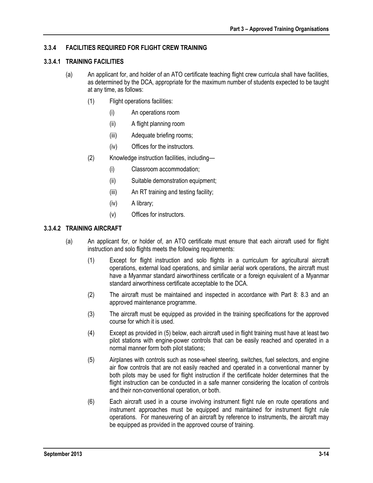#### <span id="page-23-0"></span>**3.3.4 FACILITIES REQUIRED FOR FLIGHT CREW TRAINING**

#### <span id="page-23-1"></span>**3.3.4.1 TRAINING FACILITIES**

- (a) An applicant for, and holder of an ATO certificate teaching flight crew curricula shall have facilities, as determined by the DCA, appropriate for the maximum number of students expected to be taught at any time, as follows:
	- (1) Flight operations facilities:
		- (i) An operations room
		- (ii) A flight planning room
		- (iii) Adequate briefing rooms;
		- (iv) Offices for the instructors.
	- (2) Knowledge instruction facilities, including—
		- (i) Classroom accommodation;
		- (ii) Suitable demonstration equipment;
		- (iii) An RT training and testing facility;
		- (iv) A library;
		- (v) Offices for instructors.

#### <span id="page-23-2"></span>**3.3.4.2 TRAINING AIRCRAFT**

- (a) An applicant for, or holder of, an ATO certificate must ensure that each aircraft used for flight instruction and solo flights meets the following requirements:
	- (1) Except for flight instruction and solo flights in a curriculum for agricultural aircraft operations, external load operations, and similar aerial work operations, the aircraft must have a Myanmar standard airworthiness certificate or a foreign equivalent of a Myanmar standard airworthiness certificate acceptable to the DCA.
	- (2) The aircraft must be maintained and inspected in accordance with Part 8: 8.3 and an approved maintenance programme.
	- (3) The aircraft must be equipped as provided in the training specifications for the approved course for which it is used.
	- (4) Except as provided in (5) below, each aircraft used in flight training must have at least two pilot stations with engine-power controls that can be easily reached and operated in a normal manner form both pilot stations;
	- (5) Airplanes with controls such as nose-wheel steering, switches, fuel selectors, and engine air flow controls that are not easily reached and operated in a conventional manner by both pilots may be used for flight instruction if the certificate holder determines that the flight instruction can be conducted in a safe manner considering the location of controls and their non-conventional operation, or both.
	- (6) Each aircraft used in a course involving instrument flight rule en route operations and instrument approaches must be equipped and maintained for instrument flight rule operations. For maneuvering of an aircraft by reference to instruments, the aircraft may be equipped as provided in the approved course of training.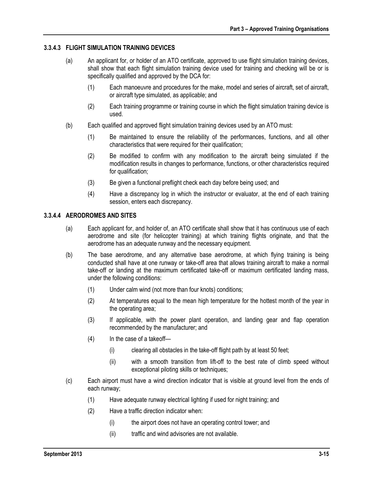#### <span id="page-24-0"></span>**3.3.4.3 FLIGHT SIMULATION TRAINING DEVICES**

- (a) An applicant for, or holder of an ATO certificate, approved to use flight simulation training devices, shall show that each flight simulation training device used for training and checking will be or is specifically qualified and approved by the DCA for:
	- (1) Each manoeuvre and procedures for the make, model and series of aircraft, set of aircraft, or aircraft type simulated, as applicable; and
	- (2) Each training programme or training course in which the flight simulation training device is used.
- (b) Each qualified and approved flight simulation training devices used by an ATO must:
	- (1) Be maintained to ensure the reliability of the performances, functions, and all other characteristics that were required for their qualification;
	- (2) Be modified to confirm with any modification to the aircraft being simulated if the modification results in changes to performance, functions, or other characteristics required for qualification;
	- (3) Be given a functional preflight check each day before being used; and
	- (4) Have a discrepancy log in which the instructor or evaluator, at the end of each training session, enters each discrepancy.

#### <span id="page-24-1"></span>**3.3.4.4 AERODROMES AND SITES**

- (a) Each applicant for, and holder of, an ATO certificate shall show that it has continuous use of each aerodrome and site (for helicopter training) at which training flights originate, and that the aerodrome has an adequate runway and the necessary equipment.
- (b) The base aerodrome, and any alternative base aerodrome, at which flying training is being conducted shall have at one runway or take-off area that allows training aircraft to make a normal take-off or landing at the maximum certificated take-off or maximum certificated landing mass, under the following conditions:
	- (1) Under calm wind (not more than four knots) conditions;
	- (2) At temperatures equal to the mean high temperature for the hottest month of the year in the operating area;
	- (3) If applicable, with the power plant operation, and landing gear and flap operation recommended by the manufacturer; and
	- (4) In the case of a takeoff—
		- (i) clearing all obstacles in the take-off flight path by at least 50 feet;
		- (ii) with a smooth transition from lift-off to the best rate of climb speed without exceptional piloting skills or techniques;
- (c) Each airport must have a wind direction indicator that is visible at ground level from the ends of each runway;
	- (1) Have adequate runway electrical lighting if used for night training; and
	- (2) Have a traffic direction indicator when:
		- (i) the airport does not have an operating control tower; and
		- (ii) traffic and wind advisories are not available.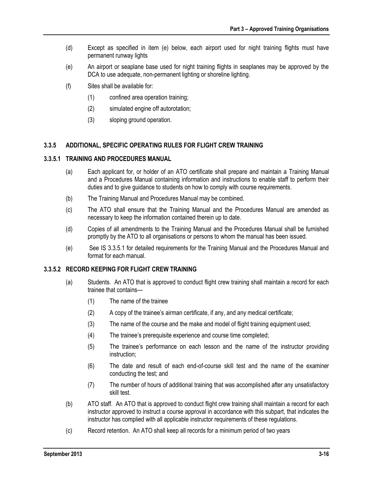- (d) Except as specified in item (e) below, each airport used for night training flights must have permanent runway lights
- (e) An airport or seaplane base used for night training flights in seaplanes may be approved by the DCA to use adequate, non-permanent lighting or shoreline lighting.
- (f) Sites shall be available for:
	- (1) confined area operation training;
	- (2) simulated engine off autorotation;
	- (3) sloping ground operation.

#### <span id="page-25-0"></span>**3.3.5 ADDITIONAL, SPECIFIC OPERATING RULES FOR FLIGHT CREW TRAINING**

#### <span id="page-25-1"></span>**3.3.5.1 TRAINING AND PROCEDURES MANUAL**

- (a) Each applicant for, or holder of an ATO certificate shall prepare and maintain a Training Manual and a Procedures Manual containing information and instructions to enable staff to perform their duties and to give guidance to students on how to comply with course requirements.
- (b) The Training Manual and Procedures Manual may be combined.
- (c) The ATO shall ensure that the Training Manual and the Procedures Manual are amended as necessary to keep the information contained therein up to date.
- (d) Copies of all amendments to the Training Manual and the Procedures Manual shall be furnished promptly by the ATO to all organisations or persons to whom the manual has been issued.
- (e) See IS 3.3.5.1 for detailed requirements for the Training Manual and the Procedures Manual and format for each manual.

#### <span id="page-25-2"></span>**3.3.5.2 RECORD KEEPING FOR FLIGHT CREW TRAINING**

- (a) Students. An ATO that is approved to conduct flight crew training shall maintain a record for each trainee that contains—
	- (1) The name of the trainee
	- (2) A copy of the trainee's airman certificate, if any, and any medical certificate;
	- (3) The name of the course and the make and model of flight training equipment used;
	- (4) The trainee's prerequisite experience and course time completed;
	- (5) The trainee's performance on each lesson and the name of the instructor providing instruction;
	- (6) The date and result of each end-of-course skill test and the name of the examiner conducting the test; and
	- (7) The number of hours of additional training that was accomplished after any unsatisfactory skill test.
- (b) ATO staff. An ATO that is approved to conduct flight crew training shall maintain a record for each instructor approved to instruct a course approval in accordance with this subpart, that indicates the instructor has complied with all applicable instructor requirements of these regulations.
- (c) Record retention. An ATO shall keep all records for a minimum period of two years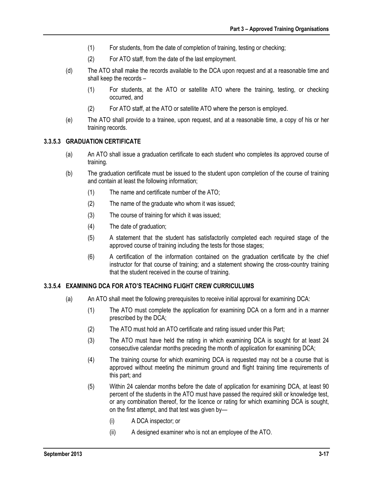- (1) For students, from the date of completion of training, testing or checking;
- (2) For ATO staff, from the date of the last employment.
- (d) The ATO shall make the records available to the DCA upon request and at a reasonable time and shall keep the records –
	- (1) For students, at the ATO or satellite ATO where the training, testing, or checking occurred, and
	- (2) For ATO staff, at the ATO or satellite ATO where the person is employed.
- (e) The ATO shall provide to a trainee, upon request, and at a reasonable time, a copy of his or her training records.

#### <span id="page-26-0"></span>**3.3.5.3 GRADUATION CERTIFICATE**

- (a) An ATO shall issue a graduation certificate to each student who completes its approved course of training.
- (b) The graduation certificate must be issued to the student upon completion of the course of training and contain at least the following information;
	- (1) The name and certificate number of the ATO;
	- (2) The name of the graduate who whom it was issued;
	- (3) The course of training for which it was issued;
	- (4) The date of graduation;
	- (5) A statement that the student has satisfactorily completed each required stage of the approved course of training including the tests for those stages;
	- (6) A certification of the information contained on the graduation certificate by the chief instructor for that course of training; and a statement showing the cross-country training that the student received in the course of training.

#### <span id="page-26-1"></span>**3.3.5.4 EXAMINING DCA FOR ATO'S TEACHING FLIGHT CREW CURRICULUMS**

- (a) An ATO shall meet the following prerequisites to receive initial approval for examining DCA:
	- (1) The ATO must complete the application for examining DCA on a form and in a manner prescribed by the DCA;
	- (2) The ATO must hold an ATO certificate and rating issued under this Part;
	- (3) The ATO must have held the rating in which examining DCA is sought for at least 24 consecutive calendar months preceding the month of application for examining DCA;
	- (4) The training course for which examining DCA is requested may not be a course that is approved without meeting the minimum ground and flight training time requirements of this part; and
	- (5) Within 24 calendar months before the date of application for examining DCA, at least 90 percent of the students in the ATO must have passed the required skill or knowledge test, or any combination thereof, for the licence or rating for which examining DCA is sought, on the first attempt, and that test was given by—
		- (i) A DCA inspector; or
		- (ii) A designed examiner who is not an employee of the ATO.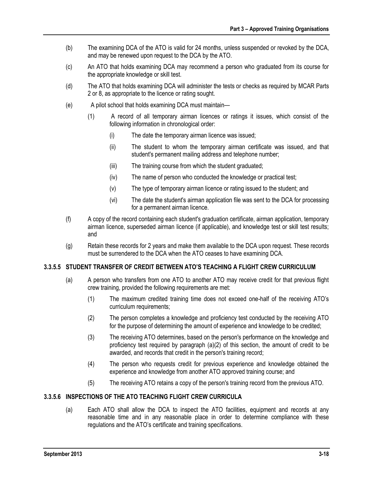- (b) The examining DCA of the ATO is valid for 24 months, unless suspended or revoked by the DCA, and may be renewed upon request to the DCA by the ATO.
- (c) An ATO that holds examining DCA may recommend a person who graduated from its course for the appropriate knowledge or skill test.
- (d) The ATO that holds examining DCA will administer the tests or checks as required by MCAR Parts 2 or 8, as appropriate to the licence or rating sought.
- (e) A pilot school that holds examining DCA must maintain—
	- (1) A record of all temporary airman licences or ratings it issues, which consist of the following information in chronological order:
		- (i) The date the temporary airman licence was issued;
		- (ii) The student to whom the temporary airman certificate was issued, and that student's permanent mailing address and telephone number;
		- (iii) The training course from which the student graduated;
		- (iv) The name of person who conducted the knowledge or practical test;
		- (v) The type of temporary airman licence or rating issued to the student; and
		- (vi) The date the student's airman application file was sent to the DCA for processing for a permanent airman licence.
- (f) A copy of the record containing each student's graduation certificate, airman application, temporary airman licence, superseded airman licence (if applicable), and knowledge test or skill test results; and
- (g) Retain these records for 2 years and make them available to the DCA upon request. These records must be surrendered to the DCA when the ATO ceases to have examining DCA.

#### <span id="page-27-0"></span>**3.3.5.5 STUDENT TRANSFER OF CREDIT BETWEEN ATO'S TEACHING A FLIGHT CREW CURRICULUM**

- (a) A person who transfers from one ATO to another ATO may receive credit for that previous flight crew training, provided the following requirements are met:
	- (1) The maximum credited training time does not exceed one-half of the receiving ATO's curriculum requirements;
	- (2) The person completes a knowledge and proficiency test conducted by the receiving ATO for the purpose of determining the amount of experience and knowledge to be credited;
	- (3) The receiving ATO determines, based on the person's performance on the knowledge and proficiency test required by paragraph (a)(2) of this section, the amount of credit to be awarded, and records that credit in the person's training record;
	- (4) The person who requests credit for previous experience and knowledge obtained the experience and knowledge from another ATO approved training course; and
	- (5) The receiving ATO retains a copy of the person's training record from the previous ATO.

#### <span id="page-27-1"></span>**3.3.5.6 INSPECTIONS OF THE ATO TEACHING FLIGHT CREW CURRICULA**

(a) Each ATO shall allow the DCA to inspect the ATO facilities, equipment and records at any reasonable time and in any reasonable place in order to determine compliance with these regulations and the ATO's certificate and training specifications.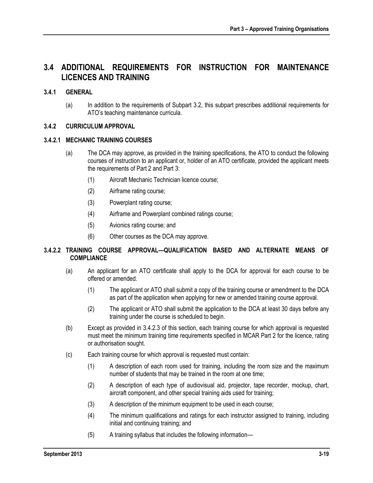### <span id="page-28-0"></span>**3.4 ADDITIONAL REQUIREMENTS FOR INSTRUCTION FOR MAINTENANCE LICENCES AND TRAINING**

#### <span id="page-28-1"></span>**3.4.1 GENERAL**

(a) In addition to the requirements of Subpart 3.2, this subpart prescribes additional requirements for ATO's teaching maintenance curricula.

#### <span id="page-28-2"></span>**3.4.2 CURRICULUM APPROVAL**

#### <span id="page-28-3"></span>**3.4.2.1 MECHANIC TRAINING COURSES**

- (a) The DCA may approve, as provided in the training specifications, the ATO to conduct the following courses of instruction to an applicant or, holder of an ATO certificate, provided the applicant meets the requirements of Part 2 and Part 3:
	- (1) Aircraft Mechanic Technician licence course;
	- (2) Airframe rating course;
	- (3) Powerplant rating course;
	- (4) Airframe and Powerplant combined ratings course;
	- (5) Avionics rating course; and
	- (6) Other courses as the DCA may approve.

#### <span id="page-28-4"></span>**3.4.2.2 TRAINING COURSE APPROVAL—QUALIFICATION BASED AND ALTERNATE MEANS OF COMPLIANCE**

- (a) An applicant for an ATO certificate shall apply to the DCA for approval for each course to be offered or amended.
	- (1) The applicant or ATO shall submit a copy of the training course or amendment to the DCA as part of the application when applying for new or amended training course approval.
	- (2) The applicant or ATO shall submit the application to the DCA at least 30 days before any training under the course is scheduled to begin.
- (b) Except as provided in 3.4.2.3 of this section, each training course for which approval is requested must meet the minimum training time requirements specified in MCAR Part 2 for the licence, rating or authorisation sought.
- (c) Each training course for which approval is requested must contain:
	- (1) A description of each room used for training, including the room size and the maximum number of students that may be trained in the room at one time;
	- (2) A description of each type of audiovisual aid, projector, tape recorder, mockup, chart, aircraft component, and other special training aids used for training;
	- (3) A description of the minimum equipment to be used in each course;
	- (4) The minimum qualifications and ratings for each instructor assigned to training, including initial and continuing training; and
	- (5) A training syllabus that includes the following information—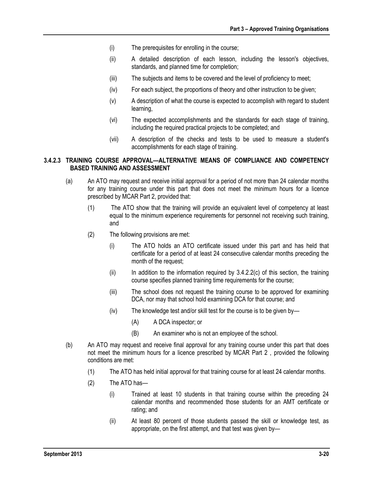- (i) The prerequisites for enrolling in the course;
- (ii) A detailed description of each lesson, including the lesson's objectives, standards, and planned time for completion;
- (iii) The subjects and items to be covered and the level of proficiency to meet;
- (iv) For each subject, the proportions of theory and other instruction to be given;
- (v) A description of what the course is expected to accomplish with regard to student learning,
- (vi) The expected accomplishments and the standards for each stage of training, including the required practical projects to be completed; and
- (vii) A description of the checks and tests to be used to measure a student's accomplishments for each stage of training.

#### <span id="page-29-0"></span>**3.4.2.3 TRAINING COURSE APPROVAL—ALTERNATIVE MEANS OF COMPLIANCE AND COMPETENCY BASED TRAINING AND ASSESSMENT**

- (a) An ATO may request and receive initial approval for a period of not more than 24 calendar months for any training course under this part that does not meet the minimum hours for a licence prescribed by MCAR Part 2, provided that:
	- (1) The ATO show that the training will provide an equivalent level of competency at least equal to the minimum experience requirements for personnel not receiving such training, and
	- (2) The following provisions are met:
		- (i) The ATO holds an ATO certificate issued under this part and has held that certificate for a period of at least 24 consecutive calendar months preceding the month of the request;
		- $(ii)$  In addition to the information required by  $3.4.2.2(c)$  of this section, the training course specifies planned training time requirements for the course;
		- (iii) The school does not request the training course to be approved for examining DCA, nor may that school hold examining DCA for that course; and
		- (iv) The knowledge test and/or skill test for the course is to be given by—
			- (A) A DCA inspector; or
			- (B) An examiner who is not an employee of the school.
- (b) An ATO may request and receive final approval for any training course under this part that does not meet the minimum hours for a licence prescribed by MCAR Part 2 , provided the following conditions are met:
	- (1) The ATO has held initial approval for that training course for at least 24 calendar months.
	- (2) The ATO has—
		- (i) Trained at least 10 students in that training course within the preceding 24 calendar months and recommended those students for an AMT certificate or rating; and
		- (ii) At least 80 percent of those students passed the skill or knowledge test, as appropriate, on the first attempt, and that test was given by—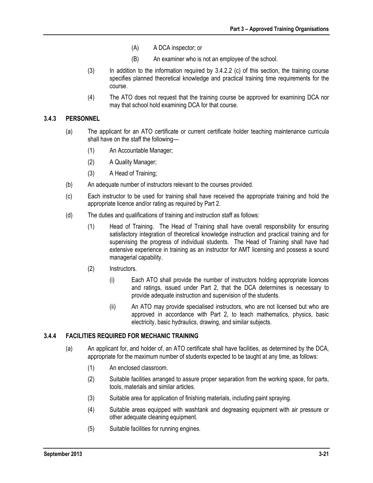- (A) A DCA inspector; or
- (B) An examiner who is not an employee of the school.
- (3) In addition to the information required by 3.4.2.2 (c) of this section, the training course specifies planned theoretical knowledge and practical training time requirements for the course.
- (4) The ATO does not request that the training course be approved for examining DCA nor may that school hold examining DCA for that course.

#### <span id="page-30-0"></span>**3.4.3 PERSONNEL**

- (a) The applicant for an ATO certificate or current certificate holder teaching maintenance curricula shall have on the staff the following—
	- (1) An Accountable Manager;
	- (2) A Quality Manager;
	- (3) A Head of Training;
- (b) An adequate number of instructors relevant to the courses provided.
- (c) Each instructor to be used for training shall have received the appropriate training and hold the appropriate licence and/or rating as required by Part 2.
- (d) The duties and qualifications of training and instruction staff as follows:
	- (1) Head of Training. The Head of Training shall have overall responsibility for ensuring satisfactory integration of theoretical knowledge instruction and practical training and for supervising the progress of individual students. The Head of Training shall have had extensive experience in training as an instructor for AMT licensing and possess a sound managerial capability.
	- (2) Instructors.
		- (i) Each ATO shall provide the number of instructors holding appropriate licences and ratings, issued under Part 2, that the DCA determines is necessary to provide adequate instruction and supervision of the students.
		- (ii) An ATO may provide specialised instructors, who are not licensed but who are approved in accordance with Part 2, to teach mathematics, physics, basic electricity, basic hydraulics, drawing, and similar subjects.

#### <span id="page-30-1"></span>**3.4.4 FACILITIES REQUIRED FOR MECHANIC TRAINING**

- (a) An applicant for, and holder of, an ATO certificate shall have facilities, as determined by the DCA, appropriate for the maximum number of students expected to be taught at any time, as follows:
	- (1) An enclosed classroom.
	- (2) Suitable facilities arranged to assure proper separation from the working space, for parts, tools, materials and similar articles.
	- (3) Suitable area for application of finishing materials, including paint spraying.
	- (4) Suitable areas equipped with washtank and degreasing equipment with air pressure or other adequate cleaning equipment.
	- (5) Suitable facilities for running engines.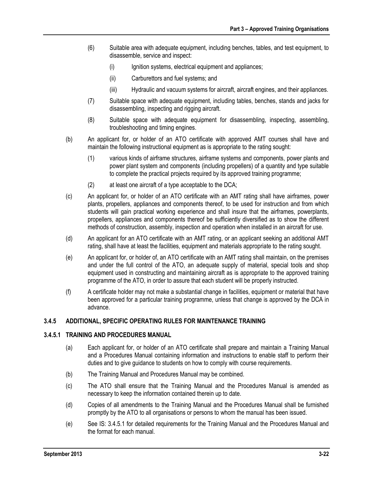- (6) Suitable area with adequate equipment, including benches, tables, and test equipment, to disassemble, service and inspect:
	- (i) Ignition systems, electrical equipment and appliances;
	- (ii) Carburettors and fuel systems; and
	- (iii) Hydraulic and vacuum systems for aircraft, aircraft engines, and their appliances.
- (7) Suitable space with adequate equipment, including tables, benches, stands and jacks for disassembling, inspecting and rigging aircraft.
- (8) Suitable space with adequate equipment for disassembling, inspecting, assembling, troubleshooting and timing engines.
- (b) An applicant for, or holder of an ATO certificate with approved AMT courses shall have and maintain the following instructional equipment as is appropriate to the rating sought:
	- (1) various kinds of airframe structures, airframe systems and components, power plants and power plant system and components (including propellers) of a quantity and type suitable to complete the practical projects required by its approved training programme;
	- (2) at least one aircraft of a type acceptable to the DCA;
- (c) An applicant for, or holder of an ATO certificate with an AMT rating shall have airframes, power plants, propellers, appliances and components thereof, to be used for instruction and from which students will gain practical working experience and shall insure that the airframes, powerplants, propellers, appliances and components thereof be sufficiently diversified as to show the different methods of construction, assembly, inspection and operation when installed in an aircraft for use.
- (d) An applicant for an ATO certificate with an AMT rating, or an applicant seeking an additional AMT rating, shall have at least the facilities, equipment and materials appropriate to the rating sought.
- (e) An applicant for, or holder of, an ATO certificate with an AMT rating shall maintain, on the premises and under the full control of the ATO, an adequate supply of material, special tools and shop equipment used in constructing and maintaining aircraft as is appropriate to the approved training programme of the ATO, in order to assure that each student will be properly instructed.
- (f) A certificate holder may not make a substantial change in facilities, equipment or material that have been approved for a particular training programme, unless that change is approved by the DCA in advance.

#### <span id="page-31-0"></span>**3.4.5 ADDITIONAL, SPECIFIC OPERATING RULES FOR MAINTENANCE TRAINING**

#### <span id="page-31-1"></span>**3.4.5.1 TRAINING AND PROCEDURES MANUAL**

- (a) Each applicant for, or holder of an ATO certificate shall prepare and maintain a Training Manual and a Procedures Manual containing information and instructions to enable staff to perform their duties and to give guidance to students on how to comply with course requirements.
- (b) The Training Manual and Procedures Manual may be combined.
- (c) The ATO shall ensure that the Training Manual and the Procedures Manual is amended as necessary to keep the information contained therein up to date.
- (d) Copies of all amendments to the Training Manual and the Procedures Manual shall be furnished promptly by the ATO to all organisations or persons to whom the manual has been issued.
- (e) See IS: 3.4.5.1 for detailed requirements for the Training Manual and the Procedures Manual and the format for each manual.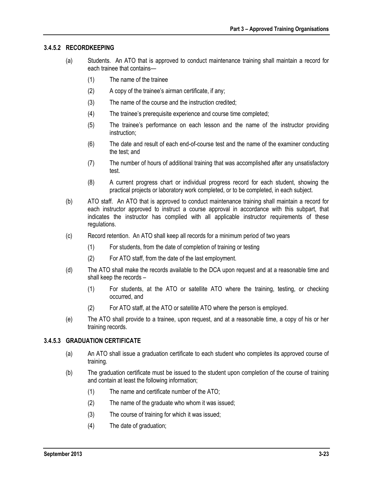#### <span id="page-32-0"></span>**3.4.5.2 RECORDKEEPING**

- (a) Students. An ATO that is approved to conduct maintenance training shall maintain a record for each trainee that contains—
	- (1) The name of the trainee
	- (2) A copy of the trainee's airman certificate, if any;
	- (3) The name of the course and the instruction credited;
	- (4) The trainee's prerequisite experience and course time completed;
	- (5) The trainee's performance on each lesson and the name of the instructor providing instruction;
	- (6) The date and result of each end-of-course test and the name of the examiner conducting the test; and
	- (7) The number of hours of additional training that was accomplished after any unsatisfactory test.
	- (8) A current progress chart or individual progress record for each student, showing the practical projects or laboratory work completed, or to be completed, in each subject.
- (b) ATO staff. An ATO that is approved to conduct maintenance training shall maintain a record for each instructor approved to instruct a course approval in accordance with this subpart, that indicates the instructor has complied with all applicable instructor requirements of these regulations.
- (c) Record retention. An ATO shall keep all records for a minimum period of two years
	- (1) For students, from the date of completion of training or testing
	- (2) For ATO staff, from the date of the last employment.
- (d) The ATO shall make the records available to the DCA upon request and at a reasonable time and shall keep the records –
	- (1) For students, at the ATO or satellite ATO where the training, testing, or checking occurred, and
	- (2) For ATO staff, at the ATO or satellite ATO where the person is employed.
- (e) The ATO shall provide to a trainee, upon request, and at a reasonable time, a copy of his or her training records.

#### <span id="page-32-1"></span>**3.4.5.3 GRADUATION CERTIFICATE**

- (a) An ATO shall issue a graduation certificate to each student who completes its approved course of training.
- (b) The graduation certificate must be issued to the student upon completion of the course of training and contain at least the following information;
	- (1) The name and certificate number of the ATO;
	- (2) The name of the graduate who whom it was issued;
	- (3) The course of training for which it was issued;
	- (4) The date of graduation;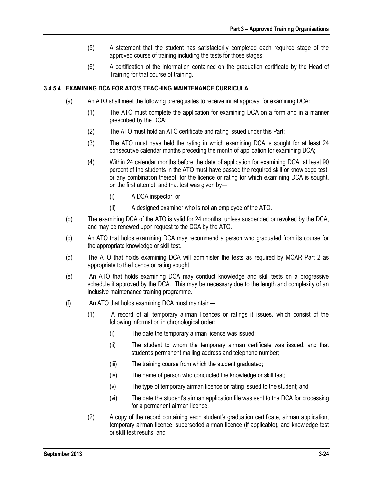- (5) A statement that the student has satisfactorily completed each required stage of the approved course of training including the tests for those stages;
- (6) A certification of the information contained on the graduation certificate by the Head of Training for that course of training.

#### <span id="page-33-0"></span>**3.4.5.4 EXAMINING DCA FOR ATO'S TEACHING MAINTENANCE CURRICULA**

- (a) An ATO shall meet the following prerequisites to receive initial approval for examining DCA:
	- (1) The ATO must complete the application for examining DCA on a form and in a manner prescribed by the DCA;
	- (2) The ATO must hold an ATO certificate and rating issued under this Part;
	- (3) The ATO must have held the rating in which examining DCA is sought for at least 24 consecutive calendar months preceding the month of application for examining DCA;
	- (4) Within 24 calendar months before the date of application for examining DCA, at least 90 percent of the students in the ATO must have passed the required skill or knowledge test, or any combination thereof, for the licence or rating for which examining DCA is sought, on the first attempt, and that test was given by—
		- (i) A DCA inspector; or
		- (ii) A designed examiner who is not an employee of the ATO.
- (b) The examining DCA of the ATO is valid for 24 months, unless suspended or revoked by the DCA, and may be renewed upon request to the DCA by the ATO.
- (c) An ATO that holds examining DCA may recommend a person who graduated from its course for the appropriate knowledge or skill test.
- (d) The ATO that holds examining DCA will administer the tests as required by MCAR Part 2 as appropriate to the licence or rating sought.
- (e) An ATO that holds examining DCA may conduct knowledge and skill tests on a progressive schedule if approved by the DCA. This may be necessary due to the length and complexity of an inclusive maintenance training programme.
- (f) An ATO that holds examining DCA must maintain—
	- (1) A record of all temporary airman licences or ratings it issues, which consist of the following information in chronological order:
		- (i) The date the temporary airman licence was issued;
		- (ii) The student to whom the temporary airman certificate was issued, and that student's permanent mailing address and telephone number;
		- (iii) The training course from which the student graduated;
		- (iv) The name of person who conducted the knowledge or skill test;
		- (v) The type of temporary airman licence or rating issued to the student; and
		- (vi) The date the student's airman application file was sent to the DCA for processing for a permanent airman licence.
	- (2) A copy of the record containing each student's graduation certificate, airman application, temporary airman licence, superseded airman licence (if applicable), and knowledge test or skill test results; and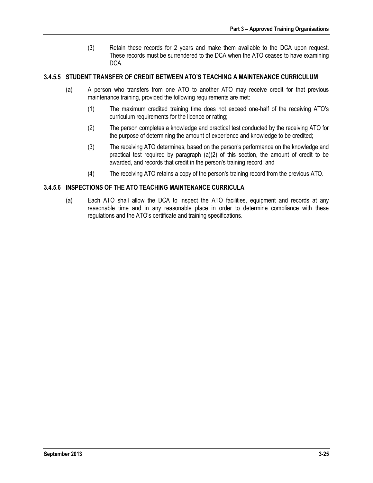(3) Retain these records for 2 years and make them available to the DCA upon request. These records must be surrendered to the DCA when the ATO ceases to have examining DCA.

#### <span id="page-34-0"></span>**3.4.5.5 STUDENT TRANSFER OF CREDIT BETWEEN ATO'S TEACHING A MAINTENANCE CURRICULUM**

- (a) A person who transfers from one ATO to another ATO may receive credit for that previous maintenance training, provided the following requirements are met:
	- (1) The maximum credited training time does not exceed one-half of the receiving ATO's curriculum requirements for the licence or rating;
	- (2) The person completes a knowledge and practical test conducted by the receiving ATO for the purpose of determining the amount of experience and knowledge to be credited;
	- (3) The receiving ATO determines, based on the person's performance on the knowledge and practical test required by paragraph (a)(2) of this section, the amount of credit to be awarded, and records that credit in the person's training record; and
	- (4) The receiving ATO retains a copy of the person's training record from the previous ATO.

#### <span id="page-34-1"></span>**3.4.5.6 INSPECTIONS OF THE ATO TEACHING MAINTENANCE CURRICULA**

(a) Each ATO shall allow the DCA to inspect the ATO facilities, equipment and records at any reasonable time and in any reasonable place in order to determine compliance with these regulations and the ATO's certificate and training specifications.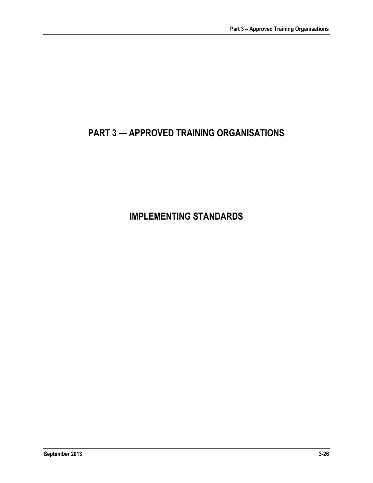# **PART 3 — APPROVED TRAINING ORGANISATIONS**

**IMPLEMENTING STANDARDS**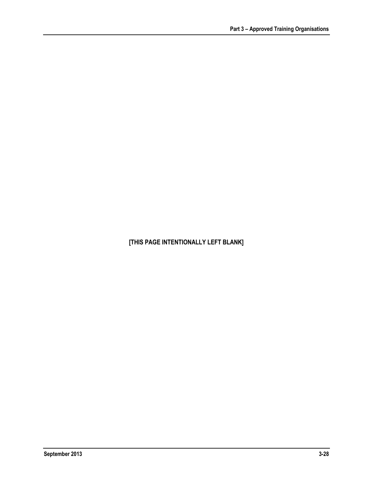# **[THIS PAGE INTENTIONALLY LEFT BLANK]**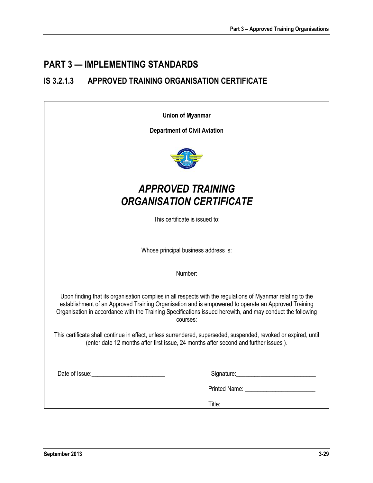# <span id="page-38-0"></span>**PART 3 — IMPLEMENTING STANDARDS**

## <span id="page-38-1"></span>**IS 3.2.1.3 APPROVED TRAINING ORGANISATION CERTIFICATE**

| <b>Union of Myanmar</b><br><b>Department of Civil Aviation</b>                                                                                                                                                                                                                                                                               |                                                                                                                                                                                                                                |  |  |  |
|----------------------------------------------------------------------------------------------------------------------------------------------------------------------------------------------------------------------------------------------------------------------------------------------------------------------------------------------|--------------------------------------------------------------------------------------------------------------------------------------------------------------------------------------------------------------------------------|--|--|--|
|                                                                                                                                                                                                                                                                                                                                              |                                                                                                                                                                                                                                |  |  |  |
| <b>APPROVED TRAINING</b><br><b>ORGANISATION CERTIFICATE</b>                                                                                                                                                                                                                                                                                  |                                                                                                                                                                                                                                |  |  |  |
|                                                                                                                                                                                                                                                                                                                                              | This certificate is issued to:                                                                                                                                                                                                 |  |  |  |
|                                                                                                                                                                                                                                                                                                                                              | Whose principal business address is:                                                                                                                                                                                           |  |  |  |
| Number:                                                                                                                                                                                                                                                                                                                                      |                                                                                                                                                                                                                                |  |  |  |
| Upon finding that its organisation complies in all respects with the regulations of Myanmar relating to the<br>establishment of an Approved Training Organisation and is empowered to operate an Approved Training<br>Organisation in accordance with the Training Specifications issued herewith, and may conduct the following<br>courses: |                                                                                                                                                                                                                                |  |  |  |
| This certificate shall continue in effect, unless surrendered, superseded, suspended, revoked or expired, until<br>(enter date 12 months after first issue, 24 months after second and further issues).                                                                                                                                      |                                                                                                                                                                                                                                |  |  |  |
|                                                                                                                                                                                                                                                                                                                                              |                                                                                                                                                                                                                                |  |  |  |
| Date of Issue: Note: Note: Note: Note: Note: Note: Note: Note: Note: Note: Note: Note: Note: Note: Note: Note: Note: Note: Note: Note: Note: Note: Note: Note: Note: Note: Note: Note: Note: Note: Note: Note: Note: Note: Not                                                                                                               | Signature: Signature:                                                                                                                                                                                                          |  |  |  |
|                                                                                                                                                                                                                                                                                                                                              | Printed Name: Value of Alberta Manual Alberta Manual Alberta Manual Alberta Manual Alberta Manual Alberta Manual Alberta Manual Alberta Manual Alberta Manual Alberta Manual Alberta Manual Alberta Manual Alberta Manual Albe |  |  |  |
|                                                                                                                                                                                                                                                                                                                                              | Title:                                                                                                                                                                                                                         |  |  |  |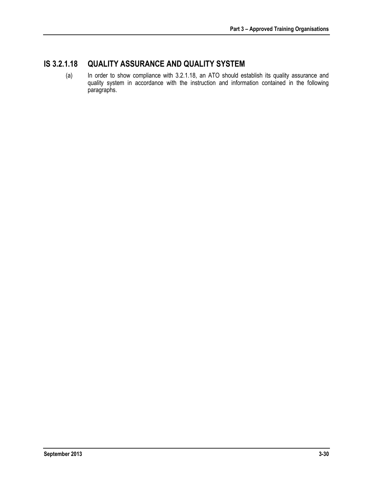## <span id="page-39-0"></span>**IS 3.2.1.18 QUALITY ASSURANCE AND QUALITY SYSTEM**

(a) In order to show compliance with 3.2.1.18, an ATO should establish its quality assurance and quality system in accordance with the instruction and information contained in the following paragraphs.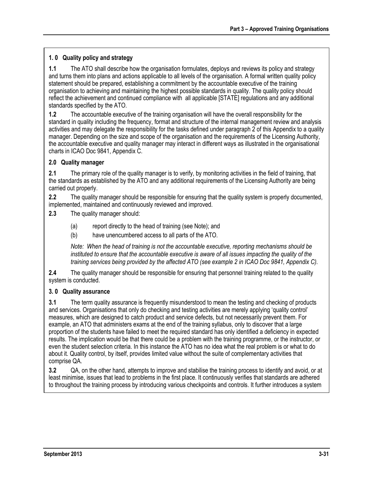### **1. 0 Quality policy and strategy**

**1.1** The ATO shall describe how the organisation formulates, deploys and reviews its policy and strategy and turns them into plans and actions applicable to all levels of the organisation. A formal written quality policy statement should be prepared, establishing a commitment by the accountable executive of the training organisation to achieving and maintaining the highest possible standards in quality. The quality policy should reflect the achievement and continued compliance with all applicable [STATE] regulations and any additional standards specified by the ATO.

**1.2** The accountable executive of the training organisation will have the overall responsibility for the standard in quality including the frequency, format and structure of the internal management review and analysis activities and may delegate the responsibility for the tasks defined under paragraph 2 of this Appendix to a quality manager. Depending on the size and scope of the organisation and the requirements of the Licensing Authority, the accountable executive and quality manager may interact in different ways as illustrated in the organisational charts in ICAO Doc 9841, Appendix C.

#### **2.0 Quality manager**

**2.1** The primary role of the quality manager is to verify, by monitoring activities in the field of training, that the standards as established by the ATO and any additional requirements of the Licensing Authority are being carried out properly.

**2.2** The quality manager should be responsible for ensuring that the quality system is properly documented, implemented, maintained and continuously reviewed and improved.

**2.3** The quality manager should:

- (a) report directly to the head of training (see Note); and
- (b) have unencumbered access to all parts of the ATO.

*Note: When the head of training is not the accountable executive, reporting mechanisms should be instituted to ensure that the accountable executive is aware of all issues impacting the quality of the training services being provided by the affected ATO (see example 2 in ICAO Doc 9841, Appendix C).*

**2.4** The quality manager should be responsible for ensuring that personnel training related to the quality system is conducted.

#### **3. 0 Quality assurance**

**3.1** The term quality assurance is frequently misunderstood to mean the testing and checking of products and services. Organisations that only do checking and testing activities are merely applying 'quality control' measures, which are designed to catch product and service defects, but not necessarily prevent them. For example, an ATO that administers exams at the end of the training syllabus, only to discover that a large proportion of the students have failed to meet the required standard has only identified a deficiency in expected results. The implication would be that there could be a problem with the training programme, or the instructor, or even the student selection criteria. In this instance the ATO has no idea what the real problem is or what to do about it. Quality control, by itself, provides limited value without the suite of complementary activities that comprise QA.

**3.2** QA, on the other hand, attempts to improve and stabilise the training process to identify and avoid, or at least minimise, issues that lead to problems in the first place. It continuously verifies that standards are adhered to throughout the training process by introducing various checkpoints and controls. It further introduces a system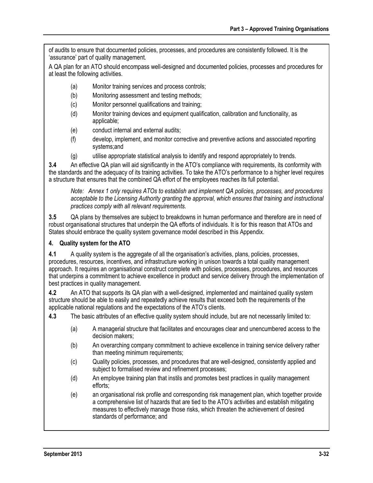of audits to ensure that documented policies, processes, and procedures are consistently followed. It is the 'assurance' part of quality management.

A QA plan for an ATO should encompass well-designed and documented policies, processes and procedures for at least the following activities.

- (a) Monitor training services and process controls;
- (b) Monitoring assessment and testing methods;
- (c) Monitor personnel qualifications and training;
- (d) Monitor training devices and equipment qualification, calibration and functionality, as applicable;
- (e) conduct internal and external audits;
- (f) develop, implement, and monitor corrective and preventive actions and associated reporting systems;and
- (g) utilise appropriate statistical analysis to identify and respond appropriately to trends.

**3.4** An effective QA plan will aid significantly in the ATO's compliance with requirements, its conformity with the standards and the adequacy of its training activities. To take the ATO's performance to a higher level requires a structure that ensures that the combined QA effort of the employees reaches its full potential.

*Note: Annex 1 only requires ATOs to establish and implement QA policies, processes, and procedures*  acceptable to the Licensing Authority granting the approval, which ensures that training and instructional *practices comply with all relevant requirements.*

**3.5** QA plans by themselves are subject to breakdowns in human performance and therefore are in need of robust organisational structures that underpin the QA efforts of individuals. It is for this reason that ATOs and States should embrace the quality system governance model described in this Appendix.

#### **4. Quality system for the ATO**

**4.1** A quality system is the aggregate of all the organisation's activities, plans, policies, processes, procedures, resources, incentives, and infrastructure working in unison towards a total quality management approach. It requires an organisational construct complete with policies, processes, procedures, and resources that underpins a commitment to achieve excellence in product and service delivery through the implementation of best practices in quality management.

**4.2** An ATO that supports its QA plan with a well-designed, implemented and maintained quality system structure should be able to easily and repeatedly achieve results that exceed both the requirements of the applicable national regulations and the expectations of the ATO's clients.

**4.3** The basic attributes of an effective quality system should include, but are not necessarily limited to:

- (a) A managerial structure that facilitates and encourages clear and unencumbered access to the decision makers;
- (b) An overarching company commitment to achieve excellence in training service delivery rather than meeting minimum requirements;
- (c) Quality policies, processes, and procedures that are well-designed, consistently applied and subject to formalised review and refinement processes;
- (d) An employee training plan that instils and promotes best practices in quality management efforts;
- (e) an organisational risk profile and corresponding risk management plan, which together provide a comprehensive list of hazards that are tied to the ATO's activities and establish mitigating measures to effectively manage those risks, which threaten the achievement of desired standards of performance; and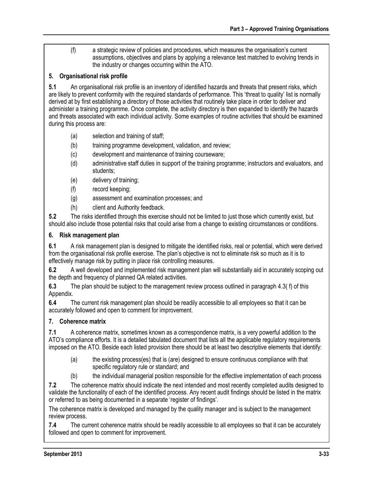(f) a strategic review of policies and procedures, which measures the organisation's current assumptions, objectives and plans by applying a relevance test matched to evolving trends in the industry or changes occurring within the ATO.

#### **5. Organisational risk profile**

**5.1** An organisational risk profile is an inventory of identified hazards and threats that present risks, which are likely to prevent conformity with the required standards of performance. This 'threat to quality' list is normally derived at by first establishing a directory of those activities that routinely take place in order to deliver and administer a training programme. Once complete, the activity directory is then expanded to identify the hazards and threats associated with each individual activity. Some examples of routine activities that should be examined during this process are:

- (a) selection and training of staff;
- (b) training programme development, validation, and review;
- (c) development and maintenance of training courseware;
- (d) administrative staff duties in support of the training programme; instructors and evaluators, and students;
- (e) delivery of training;
- (f) record keeping;
- (g) assessment and examination processes; and
- (h) client and Authority feedback.

**5.2** The risks identified through this exercise should not be limited to just those which currently exist, but should also include those potential risks that could arise from a change to existing circumstances or conditions.

#### **6. Risk management plan**

**6.1** A risk management plan is designed to mitigate the identified risks, real or potential, which were derived from the organisational risk profile exercise. The plan's objective is not to eliminate risk so much as it is to effectively manage risk by putting in place risk controlling measures.

**6.2** A well developed and implemented risk management plan will substantially aid in accurately scoping out the depth and frequency of planned QA related activities.

**6.3** The plan should be subject to the management review process outlined in paragraph 4.3( f) of this Appendix.

**6.4** The current risk management plan should be readily accessible to all employees so that it can be accurately followed and open to comment for improvement.

#### **7. Coherence matrix**

**7.1** A coherence matrix, sometimes known as a correspondence matrix, is a very powerful addition to the ATO's compliance efforts. It is a detailed tabulated document that lists all the applicable regulatory requirements imposed on the ATO. Beside each listed provision there should be at least two descriptive elements that identify:

- (a) the existing process(es) that is (are) designed to ensure continuous compliance with that specific regulatory rule or standard; and
- (b) the individual managerial position responsible for the effective implementation of each process

**7.2** The coherence matrix should indicate the next intended and most recently completed audits designed to validate the functionality of each of the identified process. Any recent audit findings should be listed in the matrix or referred to as being documented in a separate 'register of findings'.

The coherence matrix is developed and managed by the quality manager and is subject to the management review process.

**7.4** The current coherence matrix should be readily accessible to all employees so that it can be accurately followed and open to comment for improvement.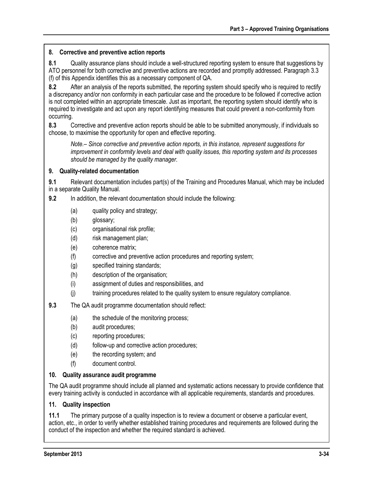#### **8. Corrective and preventive action reports**

**8.1** Quality assurance plans should include a well-structured reporting system to ensure that suggestions by ATO personnel for both corrective and preventive actions are recorded and promptly addressed. Paragraph 3.3 (f) of this Appendix identifies this as a necessary component of QA.

**8.2** After an analysis of the reports submitted, the reporting system should specify who is required to rectify a discrepancy and/or non conformity in each particular case and the procedure to be followed if corrective action is not completed within an appropriate timescale. Just as important, the reporting system should identify who is required to investigate and act upon any report identifying measures that could prevent a non-conformity from occurring.

**8.3** Corrective and preventive action reports should be able to be submitted anonymously, if individuals so choose, to maximise the opportunity for open and effective reporting.

*Note.– Since corrective and preventive action reports, in this instance, represent suggestions for improvement in conformity levels and deal with quality issues, this reporting system and its processes should be managed by the quality manager.*

#### **9. Quality-related documentation**

**9.1** Relevant documentation includes part(s) of the Training and Procedures Manual, which may be included in a separate Quality Manual.

- **9.2** In addition, the relevant documentation should include the following:
	- (a) quality policy and strategy;
	- (b) glossary;
	- (c) organisational risk profile;
	- (d) risk management plan;
	- (e) coherence matrix;
	- (f) corrective and preventive action procedures and reporting system;
	- (g) specified training standards;
	- (h) description of the organisation;
	- (i) assignment of duties and responsibilities, and
	- (j) training procedures related to the quality system to ensure regulatory compliance.
- **9.3** The QA audit programme documentation should reflect:
	- (a) the schedule of the monitoring process;
	- (b) audit procedures;
	- (c) reporting procedures;
	- (d) follow-up and corrective action procedures;
	- (e) the recording system; and
	- (f) document control.

#### **10. Quality assurance audit programme**

The QA audit programme should include all planned and systematic actions necessary to provide confidence that every training activity is conducted in accordance with all applicable requirements, standards and procedures.

#### **11. Quality inspection**

**11.1** The primary purpose of a quality inspection is to review a document or observe a particular event, action, etc., in order to verify whether established training procedures and requirements are followed during the conduct of the inspection and whether the required standard is achieved.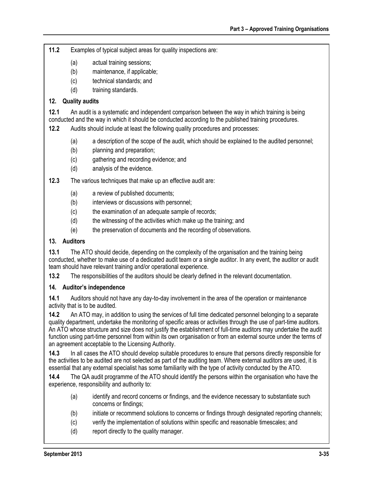**11.2** Examples of typical subject areas for quality inspections are:

- (a) actual training sessions;
- (b) maintenance, if applicable;
- (c) technical standards; and
- (d) training standards.

#### **12. Quality audits**

**12.1** An audit is a systematic and independent comparison between the way in which training is being conducted and the way in which it should be conducted according to the published training procedures.

**12.2** Audits should include at least the following quality procedures and processes:

- (a) a description of the scope of the audit, which should be explained to the audited personnel;
- (b) planning and preparation;
- (c) gathering and recording evidence; and
- (d) analysis of the evidence.

**12.3** The various techniques that make up an effective audit are:

- (a) a review of published documents;
- (b) interviews or discussions with personnel;
- (c) the examination of an adequate sample of records;
- (d) the witnessing of the activities which make up the training; and
- (e) the preservation of documents and the recording of observations.

#### **13. Auditors**

**13.1** The ATO should decide, depending on the complexity of the organisation and the training being conducted, whether to make use of a dedicated audit team or a single auditor. In any event, the auditor or audit team should have relevant training and/or operational experience.

**13.2** The responsibilities of the auditors should be clearly defined in the relevant documentation.

#### **14. Auditor's independence**

**14.1** Auditors should not have any day-to-day involvement in the area of the operation or maintenance activity that is to be audited.

**14.2** An ATO may, in addition to using the services of full time dedicated personnel belonging to a separate quality department, undertake the monitoring of specific areas or activities through the use of part-time auditors. An ATO whose structure and size does not justify the establishment of full-time auditors may undertake the audit function using part-time personnel from within its own organisation or from an external source under the terms of an agreement acceptable to the Licensing Authority.

**14.3** In all cases the ATO should develop suitable procedures to ensure that persons directly responsible for the activities to be audited are not selected as part of the auditing team. Where external auditors are used, it is essential that any external specialist has some familiarity with the type of activity conducted by the ATO.

**14.4** The QA audit programme of the ATO should identify the persons within the organisation who have the experience, responsibility and authority to:

- (a) identify and record concerns or findings, and the evidence necessary to substantiate such concerns or findings;
- (b) initiate or recommend solutions to concerns or findings through designated reporting channels;
- (c) verify the implementation of solutions within specific and reasonable timescales; and
- (d) report directly to the quality manager.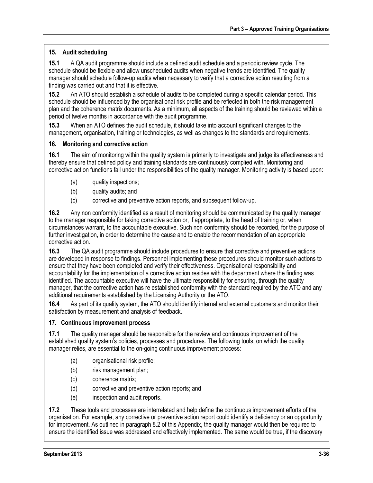### **15. Audit scheduling**

**15.1** A QA audit programme should include a defined audit schedule and a periodic review cycle. The schedule should be flexible and allow unscheduled audits when negative trends are identified. The quality manager should schedule follow-up audits when necessary to verify that a corrective action resulting from a finding was carried out and that it is effective.

**15.2** An ATO should establish a schedule of audits to be completed during a specific calendar period. This schedule should be influenced by the organisational risk profile and be reflected in both the risk management plan and the coherence matrix documents. As a minimum, all aspects of the training should be reviewed within a period of twelve months in accordance with the audit programme.

**15.3** When an ATO defines the audit schedule, it should take into account significant changes to the management, organisation, training or technologies, as well as changes to the standards and requirements.

#### **16. Monitoring and corrective action**

**16.1** The aim of monitoring within the quality system is primarily to investigate and judge its effectiveness and thereby ensure that defined policy and training standards are continuously complied with. Monitoring and corrective action functions fall under the responsibilities of the quality manager. Monitoring activity is based upon:

- (a) quality inspections;
- (b) quality audits; and
- (c) corrective and preventive action reports, and subsequent follow-up.

**16.2** Any non conformity identified as a result of monitoring should be communicated by the quality manager to the manager responsible for taking corrective action or, if appropriate, to the head of training or, when circumstances warrant, to the accountable executive. Such non conformity should be recorded, for the purpose of further investigation, in order to determine the cause and to enable the recommendation of an appropriate corrective action.

**16.3** The QA audit programme should include procedures to ensure that corrective and preventive actions are developed in response to findings. Personnel implementing these procedures should monitor such actions to ensure that they have been completed and verify their effectiveness. Organisational responsibility and accountability for the implementation of a corrective action resides with the department where the finding was identified. The accountable executive will have the ultimate responsibility for ensuring, through the quality manager, that the corrective action has re established conformity with the standard required by the ATO and any additional requirements established by the Licensing Authority or the ATO.

**16.4** As part of its quality system, the ATO should identify internal and external customers and monitor their satisfaction by measurement and analysis of feedback.

#### **17. Continuous improvement process**

**17.1** The quality manager should be responsible for the review and continuous improvement of the established quality system's policies, processes and procedures. The following tools, on which the quality manager relies, are essential to the on-going continuous improvement process:

- (a) organisational risk profile;
- (b) risk management plan;
- (c) coherence matrix;
- (d) corrective and preventive action reports; and
- (e) inspection and audit reports.

**17.2** These tools and processes are interrelated and help define the continuous improvement efforts of the organisation. For example, any corrective or preventive action report could identify a deficiency or an opportunity for improvement. As outlined in paragraph 8.2 of this Appendix, the quality manager would then be required to ensure the identified issue was addressed and effectively implemented. The same would be true, if the discovery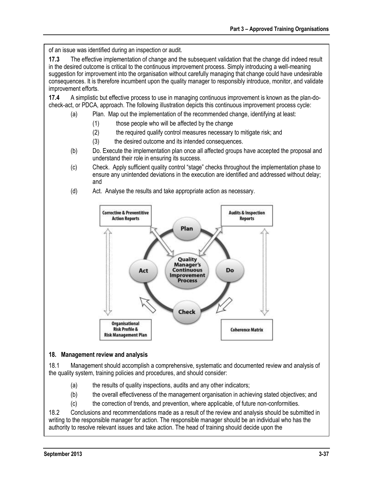of an issue was identified during an inspection or audit.

**17.3** The effective implementation of change and the subsequent validation that the change did indeed result in the desired outcome is critical to the continuous improvement process. Simply introducing a well-meaning suggestion for improvement into the organisation without carefully managing that change could have undesirable consequences. It is therefore incumbent upon the quality manager to responsibly introduce, monitor, and validate improvement efforts.

**17.4** A simplistic but effective process to use in managing continuous improvement is known as the plan-docheck-act, or PDCA, approach. The following illustration depicts this continuous improvement process cycle:

- (a) Plan. Map out the implementation of the recommended change, identifying at least:
	- (1) those people who will be affected by the change
	- (2) the required qualify control measures necessary to mitigate risk; and
	- (3) the desired outcome and its intended consequences.
- (b) Do. Execute the implementation plan once all affected groups have accepted the proposal and understand their role in ensuring its success.
- (c) Check. Apply sufficient quality control "stage" checks throughout the implementation phase to ensure any unintended deviations in the execution are identified and addressed without delay; and
- (d) Act. Analyse the results and take appropriate action as necessary.



#### **18. Management review and analysis**

18.1 Management should accomplish a comprehensive, systematic and documented review and analysis of the quality system, training policies and procedures, and should consider:

- (a) the results of quality inspections, audits and any other indicators;
- (b) the overall effectiveness of the management organisation in achieving stated objectives; and
- (c) the correction of trends, and prevention, where applicable, of future non-conformities.

18.2 Conclusions and recommendations made as a result of the review and analysis should be submitted in writing to the responsible manager for action. The responsible manager should be an individual who has the authority to resolve relevant issues and take action. The head of training should decide upon the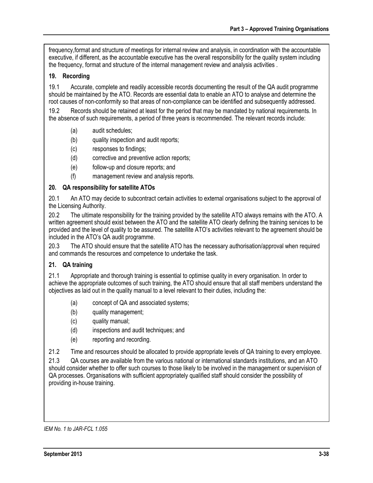frequency,format and structure of meetings for internal review and analysis, in coordination with the accountable executive, if different, as the accountable executive has the overall responsibility for the quality system including the frequency, format and structure of the internal management review and analysis activities .

#### **19. Recording**

19.1 Accurate, complete and readily accessible records documenting the result of the QA audit programme should be maintained by the ATO. Records are essential data to enable an ATO to analyse and determine the root causes of non-conformity so that areas of non-compliance can be identified and subsequently addressed.

19.2 Records should be retained at least for the period that may be mandated by national requirements. In the absence of such requirements, a period of three years is recommended. The relevant records include:

- (a) audit schedules;
- (b) quality inspection and audit reports;
- (c) responses to findings;
- (d) corrective and preventive action reports;
- (e) follow-up and closure reports; and
- (f) management review and analysis reports.

#### **20. QA responsibility for satellite ATOs**

20.1 An ATO may decide to subcontract certain activities to external organisations subject to the approval of the Licensing Authority.

20.2 The ultimate responsibility for the training provided by the satellite ATO always remains with the ATO. A written agreement should exist between the ATO and the satellite ATO clearly defining the training services to be provided and the level of quality to be assured. The satellite ATO's activities relevant to the agreement should be included in the ATO's QA audit programme.

20.3 The ATO should ensure that the satellite ATO has the necessary authorisation/approval when required and commands the resources and competence to undertake the task.

#### **21. QA training**

21.1 Appropriate and thorough training is essential to optimise quality in every organisation. In order to achieve the appropriate outcomes of such training, the ATO should ensure that all staff members understand the objectives as laid out in the quality manual to a level relevant to their duties, including the:

- (a) concept of QA and associated systems;
- (b) quality management;
- (c) quality manual;
- (d) inspections and audit techniques; and
- (e) reporting and recording.

21.2 Time and resources should be allocated to provide appropriate levels of QA training to every employee.

21.3 QA courses are available from the various national or international standards institutions, and an ATO should consider whether to offer such courses to those likely to be involved in the management or supervision of QA processes. Organisations with sufficient appropriately qualified staff should consider the possibility of providing in-house training.

*IEM No. 1 to JAR-FCL 1.055*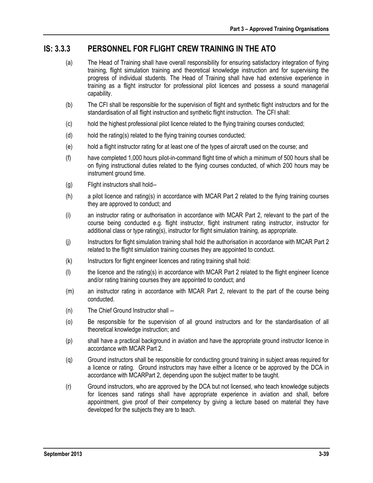### <span id="page-48-0"></span>**IS: 3.3.3 PERSONNEL FOR FLIGHT CREW TRAINING IN THE ATO**

- (a) The Head of Training shall have overall responsibility for ensuring satisfactory integration of flying training, flight simulation training and theoretical knowledge instruction and for supervising the progress of individual students. The Head of Training shall have had extensive experience in training as a flight instructor for professional pilot licences and possess a sound managerial capability.
- (b) The CFI shall be responsible for the supervision of flight and synthetic flight instructors and for the standardisation of all flight instruction and synthetic flight instruction. The CFI shall:
- (c) hold the highest professional pilot licence related to the flying training courses conducted;
- (d) hold the rating(s) related to the flying training courses conducted;
- (e) hold a flight instructor rating for at least one of the types of aircraft used on the course; and
- (f) have completed 1,000 hours pilot-in-command flight time of which a minimum of 500 hours shall be on flying instructional duties related to the flying courses conducted, of which 200 hours may be instrument ground time.
- (g) Flight instructors shall hold--
- (h) a pilot licence and rating(s) in accordance with MCAR Part 2 related to the flying training courses they are approved to conduct; and
- (i) an instructor rating or authorisation in accordance with MCAR Part 2, relevant to the part of the course being conducted e.g. flight instructor, flight instrument rating instructor, instructor for additional class or type rating(s), instructor for flight simulation training, as appropriate.
- (j) Instructors for flight simulation training shall hold the authorisation in accordance with MCAR Part 2 related to the flight simulation training courses they are appointed to conduct.
- (k) Instructors for flight engineer licences and rating training shall hold:
- (l) the licence and the rating(s) in accordance with MCAR Part 2 related to the flight engineer licence and/or rating training courses they are appointed to conduct; and
- (m) an instructor rating in accordance with MCAR Part 2, relevant to the part of the course being conducted.
- (n) The Chief Ground Instructor shall --
- (o) Be responsible for the supervision of all ground instructors and for the standardisation of all theoretical knowledge instruction; and
- (p) shall have a practical background in aviation and have the appropriate ground instructor licence in accordance with MCAR Part 2.
- (q) Ground instructors shall be responsible for conducting ground training in subject areas required for a licence or rating. Ground instructors may have either a licence or be approved by the DCA in accordance with MCARPart 2, depending upon the subject matter to be taught.
- (r) Ground instructors, who are approved by the DCA but not licensed, who teach knowledge subjects for licences sand ratings shall have appropriate experience in aviation and shall, before appointment, give proof of their competency by giving a lecture based on material they have developed for the subjects they are to teach.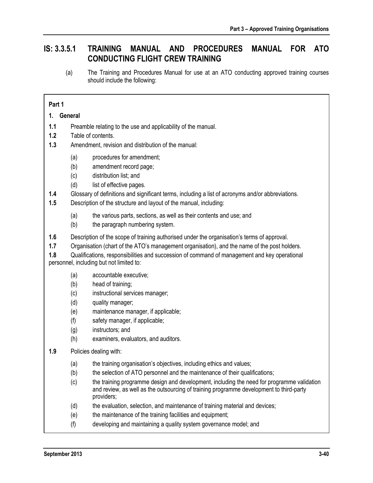## <span id="page-49-0"></span>**IS: 3.3.5.1 TRAINING MANUAL AND PROCEDURES MANUAL FOR ATO CONDUCTING FLIGHT CREW TRAINING**

(a) The Training and Procedures Manual for use at an ATO conducting approved training courses should include the following:

#### **Part 1**

- **1.1** Preamble relating to the use and applicability of the manual.
- **1.2** Table of contents.
- **1.3** Amendment, revision and distribution of the manual:
	- (a) procedures for amendment;
	- (b) amendment record page;
	- (c) distribution list; and
	- (d) list of effective pages.
- **1.4** Glossary of definitions and significant terms, including a list of acronyms and/or abbreviations.
- **1.5** Description of the structure and layout of the manual, including:
	- (a) the various parts, sections, as well as their contents and use; and
	- (b) the paragraph numbering system.
- **1.6** Description of the scope of training authorised under the organisation's terms of approval.
- **1.7** Organisation (chart of the ATO's management organisation), and the name of the post holders.

**1.8** Qualifications, responsibilities and succession of command of management and key operational personnel, including but not limited to:

- (a) accountable executive;
- (b) head of training;
- (c) instructional services manager;
- (d) quality manager;
- (e) maintenance manager, if applicable;
- (f) safety manager, if applicable;
- (g) instructors; and
- (h) examiners, evaluators, and auditors.

#### **1.9** Policies dealing with:

- (a) the training organisation's objectives, including ethics and values;
- (b) the selection of ATO personnel and the maintenance of their qualifications;
- (c) the training programme design and development, including the need for programme validation and review, as well as the outsourcing of training programme development to third-party providers;
- (d) the evaluation, selection, and maintenance of training material and devices;
- (e) the maintenance of the training facilities and equipment;
- (f) developing and maintaining a quality system governance model; and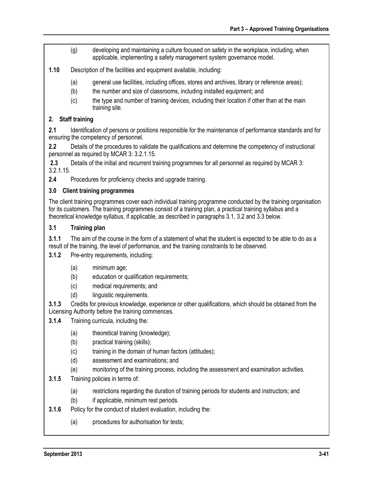- (g) developing and maintaining a culture focused on safety in the workplace, including, when applicable, implementing a safety management system governance model.
- **1.10** Description of the facilities and equipment available, including:
	- (a) general use facilities, including offices, stores and archives, library or reference areas);
	- (b) the number and size of classrooms, including installed equipment; and
	- (c) the type and number of training devices, including their location if other than at the main training site.

#### **2. Staff training**

**2.1** Identification of persons or positions responsible for the maintenance of performance standards and for ensuring the competency of personnel.

**2.2** Details of the procedures to validate the qualifications and determine the competency of instructional personnel as required by MCAR 3: 3.2.1.15.

**2.3** Details of the initial and recurrent training programmes for all personnel as required by MCAR 3: 3.2.1.15.

**2.4** Procedures for proficiency checks and upgrade training.

#### **3.0 Client training programmes**

The client training programmes cover each individual training programme conducted by the training organisation for its customers. The training programmes consist of a training plan, a practical training syllabus and a theoretical knowledge syllabus, if applicable, as described in paragraphs 3.1, 3.2 and 3.3 below.

#### **3.1 Training plan**

**3.1.1** The aim of the course in the form of a statement of what the student is expected to be able to do as a result of the training, the level of performance, and the training constraints to be observed.

**3.1.2** Pre-entry requirements, including:

- (a) minimum age;
- (b) education or qualification requirements;
- (c) medical requirements; and
- (d) linguistic requirements.

**3.1.3** Credits for previous knowledge, experience or other qualifications, which should be obtained from the Licensing Authority before the training commences.

**3.1.4** Training curricula, including the:

- (a) theoretical training (knowledge);
- (b) practical training (skills);
- (c) training in the domain of human factors (attitudes);
- (d) assessment and examinations; and
- (e) monitoring of the training process, including the assessment and examination activities.
- **3.1.5** Training policies in terms of:
	- (a) restrictions regarding the duration of training periods for students and instructors; and
	- (b) if applicable, minimum rest periods.
- **3.1.6** Policy for the conduct of student evaluation, including the:
	- (a) procedures for authorisation for tests;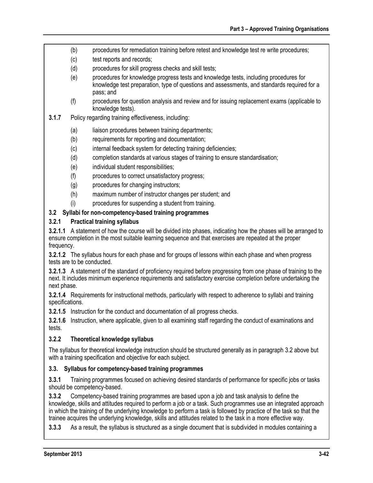- (b) procedures for remediation training before retest and knowledge test re write procedures;
	- (c) test reports and records;
	- (d) procedures for skill progress checks and skill tests;
- (e) procedures for knowledge progress tests and knowledge tests, including procedures for knowledge test preparation, type of questions and assessments, and standards required for a pass; and
- (f) procedures for question analysis and review and for issuing replacement exams (applicable to knowledge tests).
- **3.1.7** Policy regarding training effectiveness, including:
	- (a) liaison procedures between training departments;
	- (b) requirements for reporting and documentation;
	- (c) internal feedback system for detecting training deficiencies;
	- (d) completion standards at various stages of training to ensure standardisation;
	- (e) individual student responsibilities;
	- (f) procedures to correct unsatisfactory progress;
	- (g) procedures for changing instructors;
	- (h) maximum number of instructor changes per student; and
	- (i) procedures for suspending a student from training.

#### **3.2 Syllabi for non-competency-based training programmes**

#### **3.2.1 Practical training syllabus**

**3.2.1.1** A statement of how the course will be divided into phases, indicating how the phases will be arranged to ensure completion in the most suitable learning sequence and that exercises are repeated at the proper frequency.

**3.2.1.2** The syllabus hours for each phase and for groups of lessons within each phase and when progress tests are to be conducted.

**3.2.1.3** A statement of the standard of proficiency required before progressing from one phase of training to the next. It includes minimum experience requirements and satisfactory exercise completion before undertaking the next phase.

**3.2.1.4** Requirements for instructional methods, particularly with respect to adherence to syllabi and training specifications.

**3.2.1.5** Instruction for the conduct and documentation of all progress checks.

**3.2.1.6** Instruction, where applicable, given to all examining staff regarding the conduct of examinations and tests.

#### **3.2.2 Theoretical knowledge syllabus**

The syllabus for theoretical knowledge instruction should be structured generally as in paragraph 3.2 above but with a training specification and objective for each subject.

#### **3.3. Syllabus for competency-based training programmes**

**3.3.1** Training programmes focused on achieving desired standards of performance for specific jobs or tasks should be competency-based.

**3.3.2** Competency-based training programmes are based upon a job and task analysis to define the knowledge, skills and attitudes required to perform a job or a task. Such programmes use an integrated approach in which the training of the underlying knowledge to perform a task is followed by practice of the task so that the trainee acquires the underlying knowledge, skills and attitudes related to the task in a more effective way.

**3.3.3** As a result, the syllabus is structured as a single document that is subdivided in modules containing a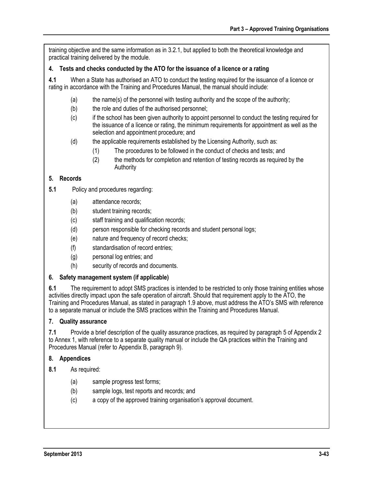training objective and the same information as in 3.2.1, but applied to both the theoretical knowledge and practical training delivered by the module.

#### **4. Tests and checks conducted by the ATO for the issuance of a licence or a rating**

**4.1** When a State has authorised an ATO to conduct the testing required for the issuance of a licence or rating in accordance with the Training and Procedures Manual, the manual should include:

- (a) the name(s) of the personnel with testing authority and the scope of the authority;
- (b) the role and duties of the authorised personnel;
- (c) if the school has been given authority to appoint personnel to conduct the testing required for the issuance of a licence or rating, the minimum requirements for appointment as well as the selection and appointment procedure; and
- (d) the applicable requirements established by the Licensing Authority, such as:
	- (1) The procedures to be followed in the conduct of checks and tests; and
	- (2) the methods for completion and retention of testing records as required by the **Authority**

#### **5. Records**

- **5.1** Policy and procedures regarding:
	- (a) attendance records;
	- (b) student training records;
	- (c) staff training and qualification records;
	- (d) person responsible for checking records and student personal logs;
	- (e) nature and frequency of record checks;
	- (f) standardisation of record entries;
	- (g) personal log entries; and
	- (h) security of records and documents.

#### **6. Safety management system (if applicable)**

**6.1** The requirement to adopt SMS practices is intended to be restricted to only those training entities whose activities directly impact upon the safe operation of aircraft. Should that requirement apply to the ATO, the Training and Procedures Manual, as stated in paragraph 1.9 above, must address the ATO's SMS with reference to a separate manual or include the SMS practices within the Training and Procedures Manual.

#### **7. Quality assurance**

**7.1** Provide a brief description of the quality assurance practices, as required by paragraph 5 of Appendix 2 to Annex 1, with reference to a separate quality manual or include the QA practices within the Training and Procedures Manual (refer to Appendix B, paragraph 9).

#### **8. Appendices**

- **8.1** As required:
	- (a) sample progress test forms;
	- (b) sample logs, test reports and records; and
	- (c) a copy of the approved training organisation's approval document.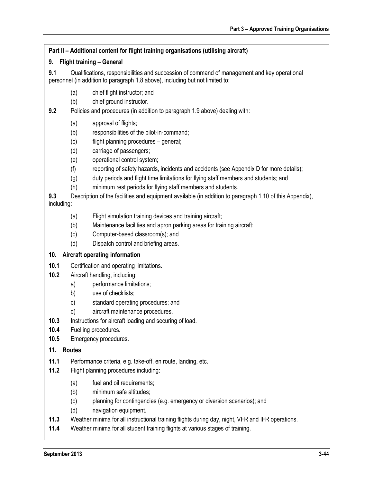#### **Part II – Additional content for flight training organisations (utilising aircraft)**

#### **9. Flight training – General**

**9.1** Qualifications, responsibilities and succession of command of management and key operational personnel (in addition to paragraph 1.8 above), including but not limited to:

- (a) chief flight instructor; and
- (b) chief ground instructor.
- **9.2** Policies and procedures (in addition to paragraph 1.9 above) dealing with:
	- (a) approval of flights;
	- (b) responsibilities of the pilot-in-command;
	- (c) flight planning procedures general;
	- (d) carriage of passengers;
	- (e) operational control system;
	- (f) reporting of safety hazards, incidents and accidents (see Appendix D for more details);
	- (g) duty periods and flight time limitations for flying staff members and students; and
	- (h) minimum rest periods for flying staff members and students.

**9.3** Description of the facilities and equipment available (in addition to paragraph 1.10 of this Appendix), including:

- (a) Flight simulation training devices and training aircraft;
- (b) Maintenance facilities and apron parking areas for training aircraft;
- (c) Computer-based classroom(s); and
- (d) Dispatch control and briefing areas.

#### **10. Aircraft operating information**

- **10.1** Certification and operating limitations.
- **10.2** Aircraft handling, including:
	- a) performance limitations;
	- b) use of checklists;
	- c) standard operating procedures; and
	- d) aircraft maintenance procedures.
- **10.3** Instructions for aircraft loading and securing of load.
- **10.4** Fuelling procedures.
- **10.5** Emergency procedures.

#### **11. Routes**

- **11.1** Performance criteria, e.g. take-off, en route, landing, etc.
- **11.2** Flight planning procedures including:
	- (a) fuel and oil requirements;
	- (b) minimum safe altitudes;
	- (c) planning for contingencies (e.g. emergency or diversion scenarios); and
	- (d) navigation equipment.
- **11.3** Weather minima for all instructional training flights during day, night, VFR and IFR operations.
- **11.4** Weather minima for all student training flights at various stages of training.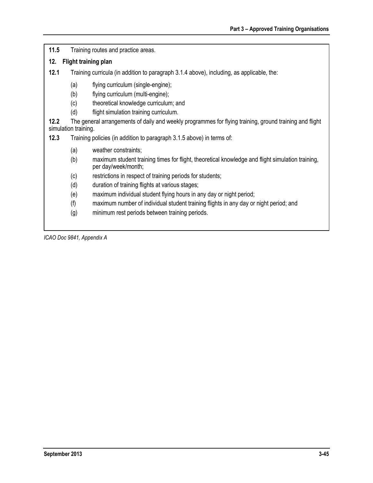**11.5** Training routes and practice areas.

#### **12. Flight training plan**

- **12.1** Training curricula (in addition to paragraph 3.1.4 above), including, as applicable, the:
	- (a) flying curriculum (single-engine);
	- (b) flying curriculum (multi-engine);
	- (c) theoretical knowledge curriculum; and
	- (d) flight simulation training curriculum.

**12.2** The general arrangements of daily and weekly programmes for flying training, ground training and flight simulation training.

- **12.3** Training policies (in addition to paragraph 3.1.5 above) in terms of:
	- (a) weather constraints;
	- (b) maximum student training times for flight, theoretical knowledge and flight simulation training, per day/week/month;
	- (c) restrictions in respect of training periods for students;
	- (d) duration of training flights at various stages;
	- (e) maximum individual student flying hours in any day or night period;
	- (f) maximum number of individual student training flights in any day or night period; and
	- (g) minimum rest periods between training periods.

*ICAO Doc 9841, Appendix A*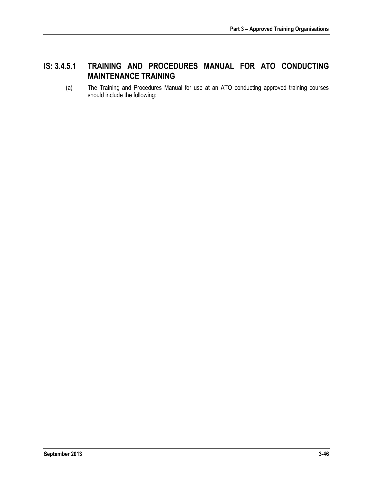## **IS: 3.4.5.1 TRAINING AND PROCEDURES MANUAL FOR ATO CONDUCTING MAINTENANCE TRAINING**

(a) The Training and Procedures Manual for use at an ATO conducting approved training courses should include the following: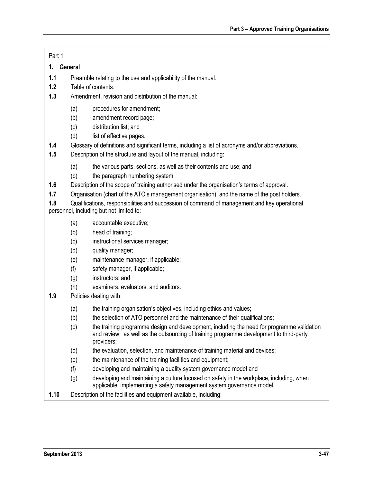#### Part 1

- **1. General**
- **1.1** Preamble relating to the use and applicability of the manual.
- **1.2** Table of contents.
- **1.3** Amendment, revision and distribution of the manual:
	- (a) procedures for amendment;
	- (b) amendment record page;
	- (c) distribution list; and
	- (d) list of effective pages.
- **1.4** Glossary of definitions and significant terms, including a list of acronyms and/or abbreviations.
- **1.5** Description of the structure and layout of the manual, including:
	- (a) the various parts, sections, as well as their contents and use; and
	- (b) the paragraph numbering system.
- **1.6** Description of the scope of training authorised under the organisation's terms of approval.
- **1.7** Organisation (chart of the ATO's management organisation), and the name of the post holders.
- **1.8** Qualifications, responsibilities and succession of command of management and key operational personnel, including but not limited to:
	- (a) accountable executive;
	- (b) head of training;
	- (c) instructional services manager;
	- (d) quality manager;
	- (e) maintenance manager, if applicable;
	- (f) safety manager, if applicable;
	- (g) instructors; and
	- (h) examiners, evaluators, and auditors.
- **1.9** Policies dealing with:
	- (a) the training organisation's objectives, including ethics and values;
	- (b) the selection of ATO personnel and the maintenance of their qualifications;
	- (c) the training programme design and development, including the need for programme validation and review, as well as the outsourcing of training programme development to third-party providers;
	- (d) the evaluation, selection, and maintenance of training material and devices;
	- (e) the maintenance of the training facilities and equipment;
	- (f) developing and maintaining a quality system governance model and
	- (g) developing and maintaining a culture focused on safety in the workplace, including, when applicable, implementing a safety management system governance model.
- **1.10** Description of the facilities and equipment available, including: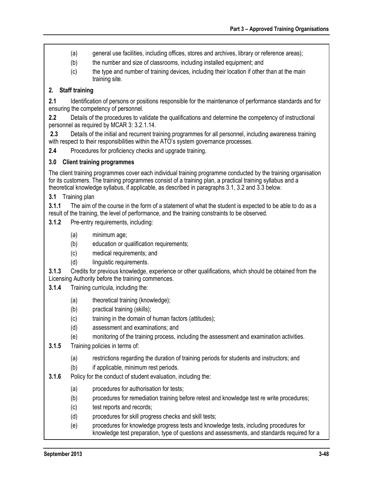- (a) general use facilities, including offices, stores and archives, library or reference areas);
- (b) the number and size of classrooms, including installed equipment; and
- (c) the type and number of training devices, including their location if other than at the main training site.

#### **2. Staff training**

**2.1** Identification of persons or positions responsible for the maintenance of performance standards and for ensuring the competency of personnel.

**2.2** Details of the procedures to validate the qualifications and determine the competency of instructional personnel as required by MCAR 3: 3.2.1.14.

**2.3** Details of the initial and recurrent training programmes for all personnel, including awareness training with respect to their responsibilities within the ATO's system governance processes.

**2.4** Procedures for proficiency checks and upgrade training.

#### **3.0 Client training programmes**

The client training programmes cover each individual training programme conducted by the training organisation for its customers. The training programmes consist of a training plan, a practical training syllabus and a theoretical knowledge syllabus, if applicable, as described in paragraphs 3.1, 3.2 and 3.3 below.

**3.1** Training plan

**3.1.1** The aim of the course in the form of a statement of what the student is expected to be able to do as a result of the training, the level of performance, and the training constraints to be observed.

**3.1.2** Pre-entry requirements, including:

- (a) minimum age;
- (b) education or qualification requirements;
- (c) medical requirements; and
- (d) linguistic requirements.

**3.1.3** Credits for previous knowledge, experience or other qualifications, which should be obtained from the Licensing Authority before the training commences.

- **3.1.4** Training curricula, including the:
	- (a) theoretical training (knowledge);
	- (b) practical training (skills);
	- (c) training in the domain of human factors (attitudes);
	- (d) assessment and examinations; and
	- (e) monitoring of the training process, including the assessment and examination activities.
- **3.1.5** Training policies in terms of:
	- (a) restrictions regarding the duration of training periods for students and instructors; and
	- (b) if applicable, minimum rest periods.
- **3.1.6** Policy for the conduct of student evaluation, including the:
	- (a) procedures for authorisation for tests;
	- (b) procedures for remediation training before retest and knowledge test re write procedures;
	- (c) test reports and records;
	- (d) procedures for skill progress checks and skill tests;
	- (e) procedures for knowledge progress tests and knowledge tests, including procedures for knowledge test preparation, type of questions and assessments, and standards required for a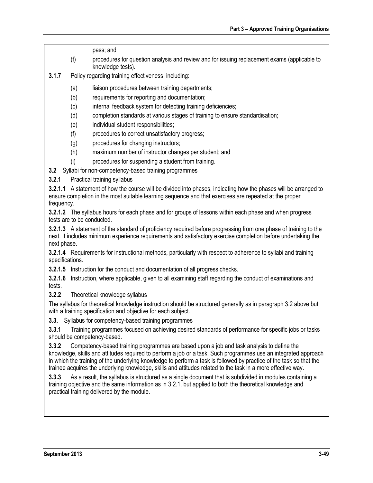pass; and

- (f) procedures for question analysis and review and for issuing replacement exams (applicable to knowledge tests).
- **3.1.7** Policy regarding training effectiveness, including:
	- (a) liaison procedures between training departments;
	- (b) requirements for reporting and documentation;
	- (c) internal feedback system for detecting training deficiencies;
	- (d) completion standards at various stages of training to ensure standardisation;
	- (e) individual student responsibilities;
	- (f) procedures to correct unsatisfactory progress;
	- (g) procedures for changing instructors;
	- (h) maximum number of instructor changes per student; and
	- (i) procedures for suspending a student from training.

**3.2** Syllabi for non-competency-based training programmes

**3.2.1** Practical training syllabus

**3.2.1.1** A statement of how the course will be divided into phases, indicating how the phases will be arranged to ensure completion in the most suitable learning sequence and that exercises are repeated at the proper frequency.

**3.2.1.2** The syllabus hours for each phase and for groups of lessons within each phase and when progress tests are to be conducted.

**3.2.1.3** A statement of the standard of proficiency required before progressing from one phase of training to the next. It includes minimum experience requirements and satisfactory exercise completion before undertaking the next phase.

**3.2.1.4** Requirements for instructional methods, particularly with respect to adherence to syllabi and training specifications.

**3.2.1.5** Instruction for the conduct and documentation of all progress checks.

**3.2.1.6** Instruction, where applicable, given to all examining staff regarding the conduct of examinations and tests.

**3.2.2** Theoretical knowledge syllabus

The syllabus for theoretical knowledge instruction should be structured generally as in paragraph 3.2 above but with a training specification and objective for each subject.

**3.3.** Syllabus for competency-based training programmes

**3.3.1** Training programmes focused on achieving desired standards of performance for specific jobs or tasks should be competency-based.

**3.3.2** Competency-based training programmes are based upon a job and task analysis to define the knowledge, skills and attitudes required to perform a job or a task. Such programmes use an integrated approach in which the training of the underlying knowledge to perform a task is followed by practice of the task so that the trainee acquires the underlying knowledge, skills and attitudes related to the task in a more effective way.

**3.3.3** As a result, the syllabus is structured as a single document that is subdivided in modules containing a training objective and the same information as in 3.2.1, but applied to both the theoretical knowledge and practical training delivered by the module.